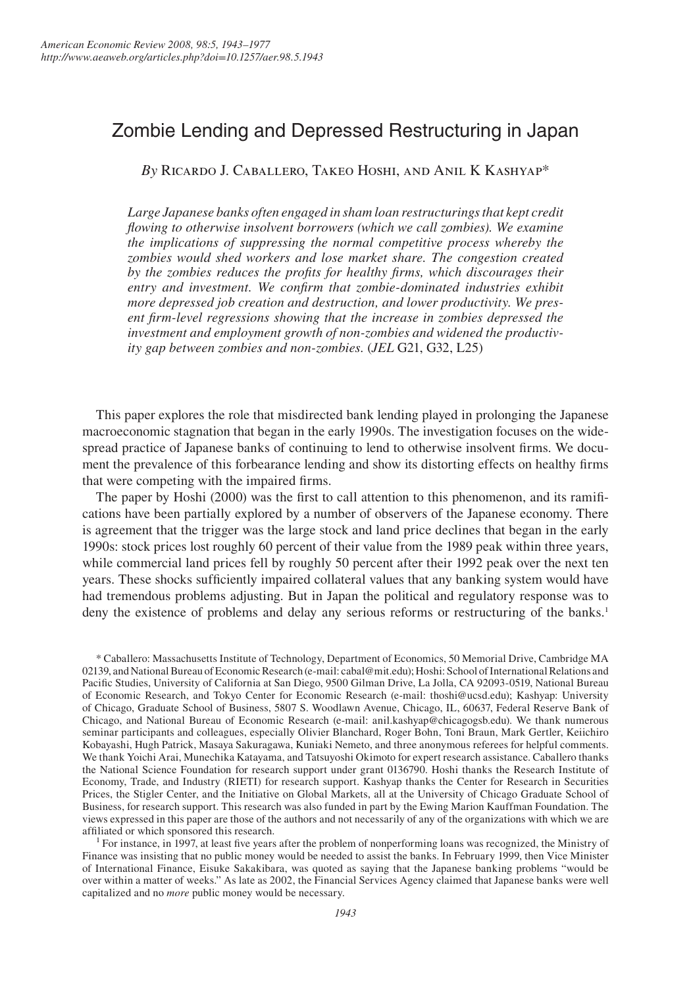# Zombie Lending and Depressed Restructuring in Japan

*By* Ricardo J. Caballero, Takeo Hoshi, and Anil K Kashyap\*

*Large Japanese banks often engaged in sham loan restructurings that kept credit flowing to otherwise insolvent borrowers (which we call zombies). We examine the implications of suppressing the normal competitive process whereby the zombies would shed workers and lose market share. The congestion created by the zombies reduces the profits for healthy firms, which discourages their entry and investment. We confirm that zombie-dominated industries exhibit more depressed job creation and destruction, and lower productivity. We present firm-level regressions showing that the increase in zombies depressed the investment and employment growth of non-zombies and widened the productivity gap between zombies and non-zombies.* (*JEL* G21, G32, L25)

This paper explores the role that misdirected bank lending played in prolonging the Japanese macroeconomic stagnation that began in the early 1990s. The investigation focuses on the widespread practice of Japanese banks of continuing to lend to otherwise insolvent firms. We document the prevalence of this forbearance lending and show its distorting effects on healthy firms that were competing with the impaired firms.

The paper by Hoshi (2000) was the first to call attention to this phenomenon, and its ramifications have been partially explored by a number of observers of the Japanese economy. There is agreement that the trigger was the large stock and land price declines that began in the early 1990s: stock prices lost roughly 60 percent of their value from the 1989 peak within three years, while commercial land prices fell by roughly 50 percent after their 1992 peak over the next ten years. These shocks sufficiently impaired collateral values that any banking system would have had tremendous problems adjusting. But in Japan the political and regulatory response was to deny the existence of problems and delay any serious reforms or restructuring of the banks.<sup>1</sup>

\* Caballero: Massachusetts Institute of Technology, Department of Economics, 50 Memorial Drive, Cambridge MA 02139, and National Bureau of Economic Research (e-mail: cabal@mit.edu); Hoshi: School of International Relations and Pacific Studies, University of California at San Diego, 9500 Gilman Drive, La Jolla, CA 92093-0519, National Bureau of Economic Research, and Tokyo Center for Economic Research (e-mail: thoshi@ucsd.edu); Kashyap: University of Chicago, Graduate School of Business, 5807 S. Woodlawn Avenue, Chicago, IL, 60637, Federal Reserve Bank of Chicago, and National Bureau of Economic Research (e-mail: anil.kashyap@chicagogsb.edu). We thank numerous seminar participants and colleagues, especially Olivier Blanchard, Roger Bohn, Toni Braun, Mark Gertler, Keiichiro Kobayashi, Hugh Patrick, Masaya Sakuragawa, Kuniaki Nemeto, and three anonymous referees for helpful comments. We thank Yoichi Arai, Munechika Katayama, and Tatsuyoshi Okimoto for expert research assistance. Caballero thanks the National Science Foundation for research support under grant 0136790. Hoshi thanks the Research Institute of Economy, Trade, and Industry (RIETI) for research support. Kashyap thanks the Center for Research in Securities Prices, the Stigler Center, and the Initiative on Global Markets, all at the University of Chicago Graduate School of Business, for research support. This research was also funded in part by the Ewing Marion Kauffman Foundation. The views expressed in this paper are those of the authors and not necessarily of any of the organizations with which we are affiliated or which sponsored this research.

1 For instance, in 1997, at least five years after the problem of nonperforming loans was recognized, the Ministry of Finance was insisting that no public money would be needed to assist the banks. In February 1999, then Vice Minister of International Finance, Eisuke Sakakibara, was quoted as saying that the Japanese banking problems "would be over within a matter of weeks." As late as 2002, the Financial Services Agency claimed that Japanese banks were well capitalized and no *more* public money would be necessary.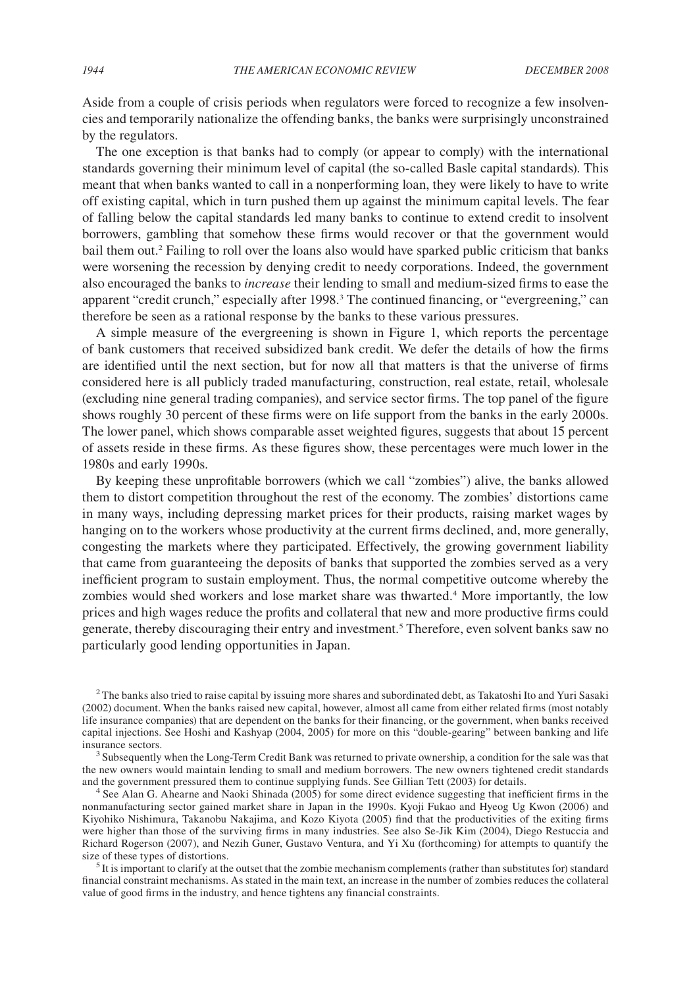Aside from a couple of crisis periods when regulators were forced to recognize a few insolvencies and temporarily nationalize the offending banks, the banks were surprisingly unconstrained by the regulators.

The one exception is that banks had to comply (or appear to comply) with the international standards governing their minimum level of capital (the so-called Basle capital standards). This meant that when banks wanted to call in a nonperforming loan, they were likely to have to write off existing capital, which in turn pushed them up against the minimum capital levels. The fear of falling below the capital standards led many banks to continue to extend credit to insolvent borrowers, gambling that somehow these firms would recover or that the government would bail them out.<sup>2</sup> Failing to roll over the loans also would have sparked public criticism that banks were worsening the recession by denying credit to needy corporations. Indeed, the government also encouraged the banks to *increase* their lending to small and medium-sized firms to ease the apparent "credit crunch," especially after 1998.<sup>3</sup> The continued financing, or "evergreening," can therefore be seen as a rational response by the banks to these various pressures.

A simple measure of the evergreening is shown in Figure 1, which reports the percentage of bank customers that received subsidized bank credit. We defer the details of how the firms are identified until the next section, but for now all that matters is that the universe of firms considered here is all publicly traded manufacturing, construction, real estate, retail, wholesale (excluding nine general trading companies), and service sector firms. The top panel of the figure shows roughly 30 percent of these firms were on life support from the banks in the early 2000s. The lower panel, which shows comparable asset weighted figures, suggests that about 15 percent of assets reside in these firms. As these figures show, these percentages were much lower in the 1980s and early 1990s.

By keeping these unprofitable borrowers (which we call "zombies") alive, the banks allowed them to distort competition throughout the rest of the economy. The zombies' distortions came in many ways, including depressing market prices for their products, raising market wages by hanging on to the workers whose productivity at the current firms declined, and, more generally, congesting the markets where they participated. Effectively, the growing government liability that came from guaranteeing the deposits of banks that supported the zombies served as a very inefficient program to sustain employment. Thus, the normal competitive outcome whereby the zombies would shed workers and lose market share was thwarted.<sup>4</sup> More importantly, the low prices and high wages reduce the profits and collateral that new and more productive firms could generate, thereby discouraging their entry and investment.5 Therefore, even solvent banks saw no particularly good lending opportunities in Japan.

<sup>2</sup> The banks also tried to raise capital by issuing more shares and subordinated debt, as Takatoshi Ito and Yuri Sasaki (2002) document. When the banks raised new capital, however, almost all came from either related firms (most notably life insurance companies) that are dependent on the banks for their financing, or the government, when banks received capital injections. See Hoshi and Kashyap (2004, 2005) for more on this "double-gearing" between banking and life insurance sectors. 3 Subsequently when the Long-Term Credit Bank was returned to private ownership, a condition for the sale was that

the new owners would maintain lending to small and medium borrowers. The new owners tightened credit standards and the government pressured them to continue supplying funds. See Gillian Tett (2003) for details. <sup>4</sup> See Alan G. Ahearne and Naoki Shinada (2005) for some direct evidence suggesting that inefficient firms in the

nonmanufacturing sector gained market share in Japan in the 1990s. Kyoji Fukao and Hyeog Ug Kwon (2006) and Kiyohiko Nishimura, Takanobu Nakajima, and Kozo Kiyota (2005) find that the productivities of the exiting firms were higher than those of the surviving firms in many industries. See also Se-Jik Kim (2004), Diego Restuccia and Richard Rogerson (2007), and Nezih Guner, Gustavo Ventura, and Yi Xu (forthcoming) for attempts to quantify the

<sup>5</sup> It is important to clarify at the outset that the zombie mechanism complements (rather than substitutes for) standard financial constraint mechanisms. As stated in the main text, an increase in the number of zombies reduces the collateral value of good firms in the industry, and hence tightens any financial constraints.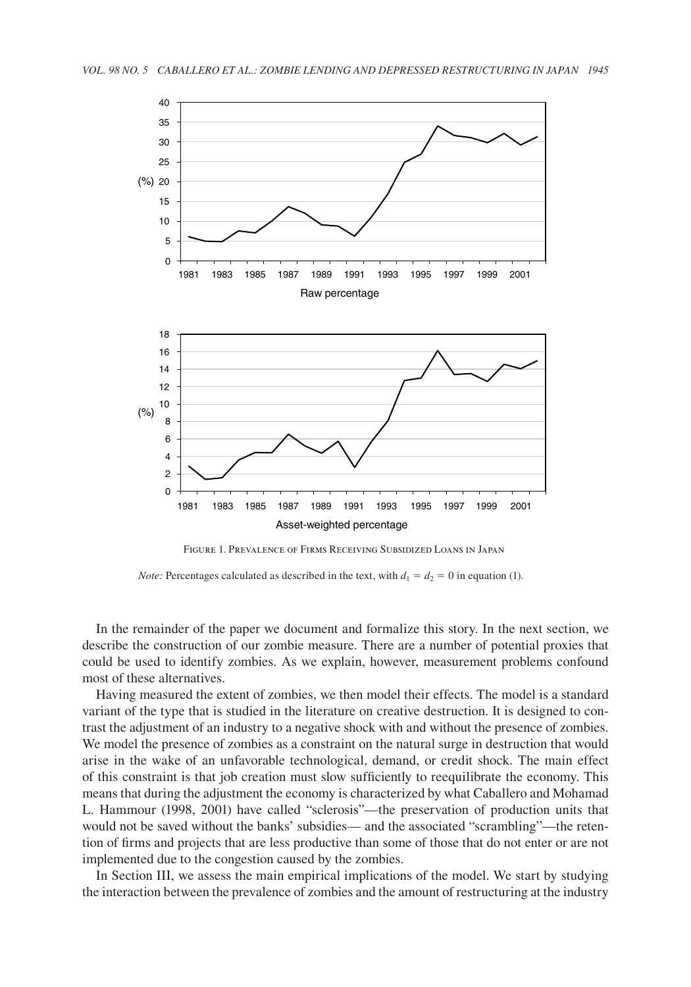

Figure 1. Prevalence of Firms Receiving Subsidized Loans in Japan

*Note:* Percentages calculated as described in the text, with  $d_1 = d_2 = 0$  in equation (1).

In the remainder of the paper we document and formalize this story. In the next section, we describe the construction of our zombie measure. There are a number of potential proxies that could be used to identify zombies. As we explain, however, measurement problems confound most of these alternatives.

Having measured the extent of zombies, we then model their effects. The model is a standard variant of the type that is studied in the literature on creative destruction. It is designed to contrast the adjustment of an industry to a negative shock with and without the presence of zombies. We model the presence of zombies as a constraint on the natural surge in destruction that would arise in the wake of an unfavorable technological, demand, or credit shock. The main effect of this constraint is that job creation must slow sufficiently to reequilibrate the economy. This means that during the adjustment the economy is characterized by what Caballero and Mohamad L. Hammour (1998, 2001) have called "sclerosis"—the preservation of production units that would not be saved without the banks' subsidies— and the associated "scrambling"—the retention of firms and projects that are less productive than some of those that do not enter or are not implemented due to the congestion caused by the zombies.

In Section III, we assess the main empirical implications of the model. We start by studying the interaction between the prevalence of zombies and the amount of restructuring at the industry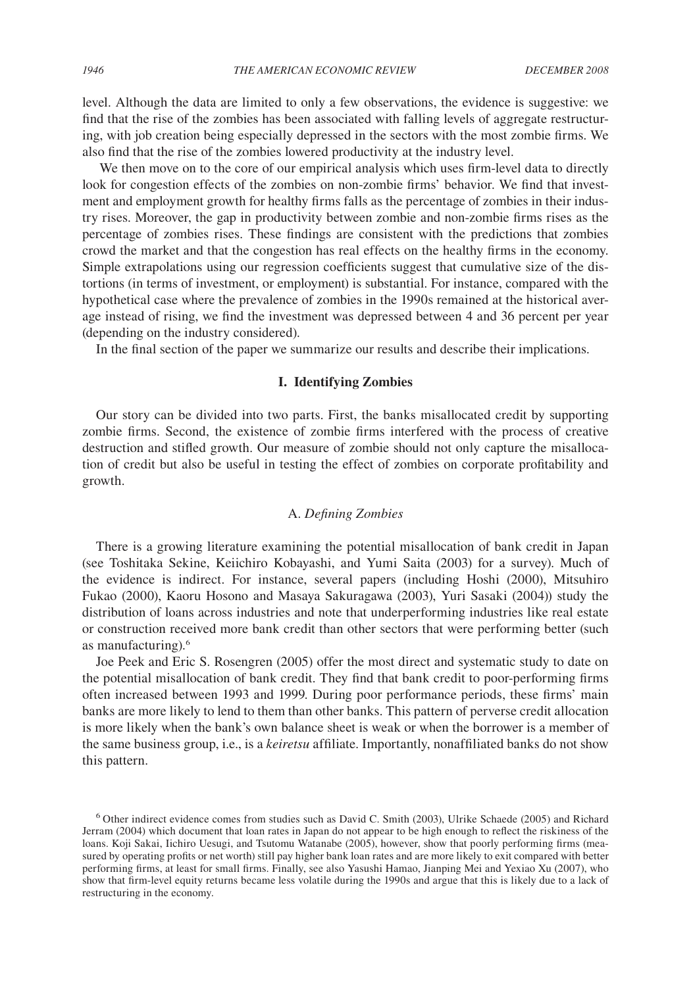level. Although the data are limited to only a few observations, the evidence is suggestive: we find that the rise of the zombies has been associated with falling levels of aggregate restructuring, with job creation being especially depressed in the sectors with the most zombie firms. We also find that the rise of the zombies lowered productivity at the industry level.

 We then move on to the core of our empirical analysis which uses firm-level data to directly look for congestion effects of the zombies on non-zombie firms' behavior. We find that investment and employment growth for healthy firms falls as the percentage of zombies in their industry rises. Moreover, the gap in productivity between zombie and non-zombie firms rises as the percentage of zombies rises. These findings are consistent with the predictions that zombies crowd the market and that the congestion has real effects on the healthy firms in the economy. Simple extrapolations using our regression coefficients suggest that cumulative size of the distortions (in terms of investment, or employment) is substantial. For instance, compared with the hypothetical case where the prevalence of zombies in the 1990s remained at the historical average instead of rising, we find the investment was depressed between 4 and 36 percent per year (depending on the industry considered).

In the final section of the paper we summarize our results and describe their implications.

# **I. Identifying Zombies**

Our story can be divided into two parts. First, the banks misallocated credit by supporting zombie firms. Second, the existence of zombie firms interfered with the process of creative destruction and stifled growth. Our measure of zombie should not only capture the misallocation of credit but also be useful in testing the effect of zombies on corporate profitability and growth.

# A. *Defining Zombies*

There is a growing literature examining the potential misallocation of bank credit in Japan (see Toshitaka Sekine, Keiichiro Kobayashi, and Yumi Saita (2003) for a survey). Much of the evidence is indirect. For instance, several papers (including Hoshi (2000), Mitsuhiro Fukao (2000), Kaoru Hosono and Masaya Sakuragawa (2003), Yuri Sasaki (2004)) study the distribution of loans across industries and note that underperforming industries like real estate or construction received more bank credit than other sectors that were performing better (such as manufacturing).6

Joe Peek and Eric S. Rosengren (2005) offer the most direct and systematic study to date on the potential misallocation of bank credit. They find that bank credit to poor-performing firms often increased between 1993 and 1999. During poor performance periods, these firms' main banks are more likely to lend to them than other banks. This pattern of perverse credit allocation is more likely when the bank's own balance sheet is weak or when the borrower is a member of the same business group, i.e., is a *keiretsu* affiliate. Importantly, nonaffiliated banks do not show this pattern.

<sup>6</sup> Other indirect evidence comes from studies such as David C. Smith (2003), Ulrike Schaede (2005) and Richard Jerram (2004) which document that loan rates in Japan do not appear to be high enough to reflect the riskiness of the loans. Koji Sakai, Iichiro Uesugi, and Tsutomu Watanabe (2005), however, show that poorly performing firms (measured by operating profits or net worth) still pay higher bank loan rates and are more likely to exit compared with better performing firms, at least for small firms. Finally, see also Yasushi Hamao, Jianping Mei and Yexiao Xu (2007), who show that firm-level equity returns became less volatile during the 1990s and argue that this is likely due to a lack of restructuring in the economy.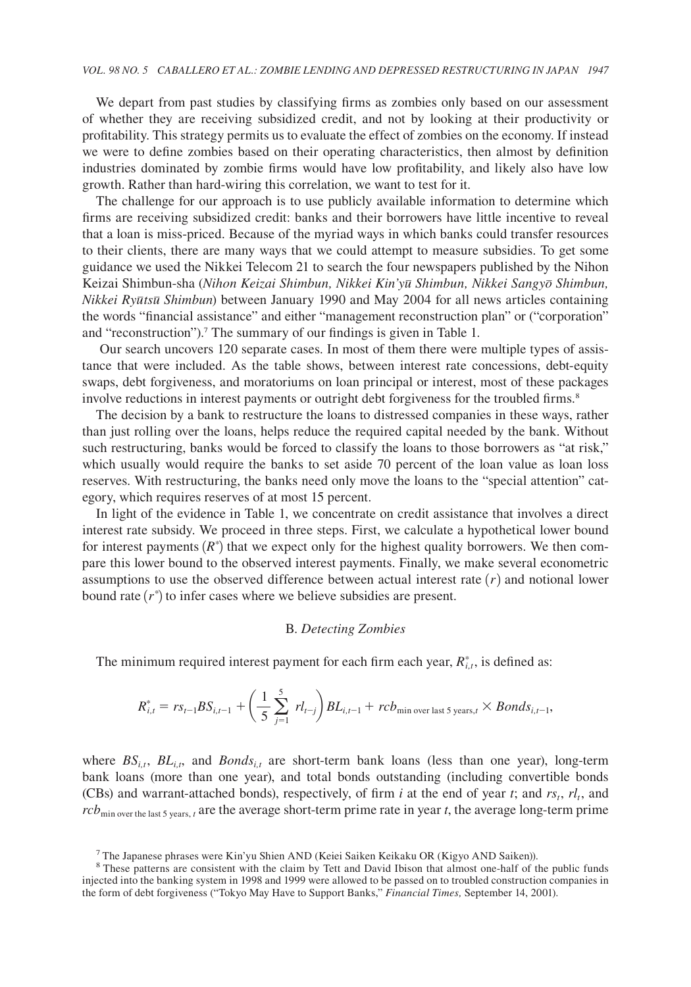We depart from past studies by classifying firms as zombies only based on our assessment of whether they are receiving subsidized credit, and not by looking at their productivity or profitability. This strategy permits us to evaluate the effect of zombies on the economy. If instead we were to define zombies based on their operating characteristics, then almost by definition industries dominated by zombie firms would have low profitability, and likely also have low growth. Rather than hard-wiring this correlation, we want to test for it.

The challenge for our approach is to use publicly available information to determine which firms are receiving subsidized credit: banks and their borrowers have little incentive to reveal that a loan is miss-priced. Because of the myriad ways in which banks could transfer resources to their clients, there are many ways that we could attempt to measure subsidies. To get some guidance we used the Nikkei Telecom 21 to search the four newspapers published by the Nihon Keizai Shimbun-sha (*Nihon Keizai Shimbun, Nikkei Kin'yu– Shimbun, Nikkei Sangyo– Shimbun, Nikkei Ryūtsū Shimbun*) between January 1990 and May 2004 for all news articles containing the words "financial assistance" and either "management reconstruction plan" or ("corporation" and "reconstruction").<sup>7</sup> The summary of our findings is given in Table 1.

 Our search uncovers 120 separate cases. In most of them there were multiple types of assistance that were included. As the table shows, between interest rate concessions, debt-equity swaps, debt forgiveness, and moratoriums on loan principal or interest, most of these packages involve reductions in interest payments or outright debt forgiveness for the troubled firms.<sup>8</sup>

The decision by a bank to restructure the loans to distressed companies in these ways, rather than just rolling over the loans, helps reduce the required capital needed by the bank. Without such restructuring, banks would be forced to classify the loans to those borrowers as "at risk," which usually would require the banks to set aside 70 percent of the loan value as loan loss reserves. With restructuring, the banks need only move the loans to the "special attention" category, which requires reserves of at most 15 percent.

In light of the evidence in Table 1, we concentrate on credit assistance that involves a direct interest rate subsidy. We proceed in three steps. First, we calculate a hypothetical lower bound for interest payments  $(R^*)$  that we expect only for the highest quality borrowers. We then compare this lower bound to the observed interest payments. Finally, we make several econometric assumptions to use the observed difference between actual interest rate  $(r)$  and notional lower bound rate  $(r^*)$  to infer cases where we believe subsidies are present.

# B. *Detecting Zombies*

The minimum required interest payment for each firm each year,  $R_{i,t}^*$ , is defined as:

$$
R_{i,t}^* = rs_{t-1}BS_{i,t-1} + \left(\frac{1}{5}\sum_{j=1}^5 rl_{t-j}\right)BL_{i,t-1} + rcb_{\min\ over\ last\ 5\ years,t} \times Bonds_{i,t-1},
$$

where  $BS_{i,t}$ ,  $BL_{i,t}$ , and  $Bonds_{i,t}$  are short-term bank loans (less than one year), long-term bank loans (more than one year), and total bonds outstanding (including convertible bonds (CBs) and warrant-attached bonds), respectively, of firm *i* at the end of year *t*; and  $rs_t$ ,  $rl_t$ , and *rcb*min over the last 5 years,*<sup>t</sup>* are the average short-term prime rate in year *t*, the average long-term prime

<sup>7</sup> The Japanese phrases were Kin'yu Shien AND (Keiei Saiken Keikaku OR (Kigyo AND Saiken)).

<sup>8</sup> These patterns are consistent with the claim by Tett and David Ibison that almost one-half of the public funds injected into the banking system in 1998 and 1999 were allowed to be passed on to troubled construction companies in the form of debt forgiveness ("Tokyo May Have to Support Banks," *Financial Times,* September 14, 2001).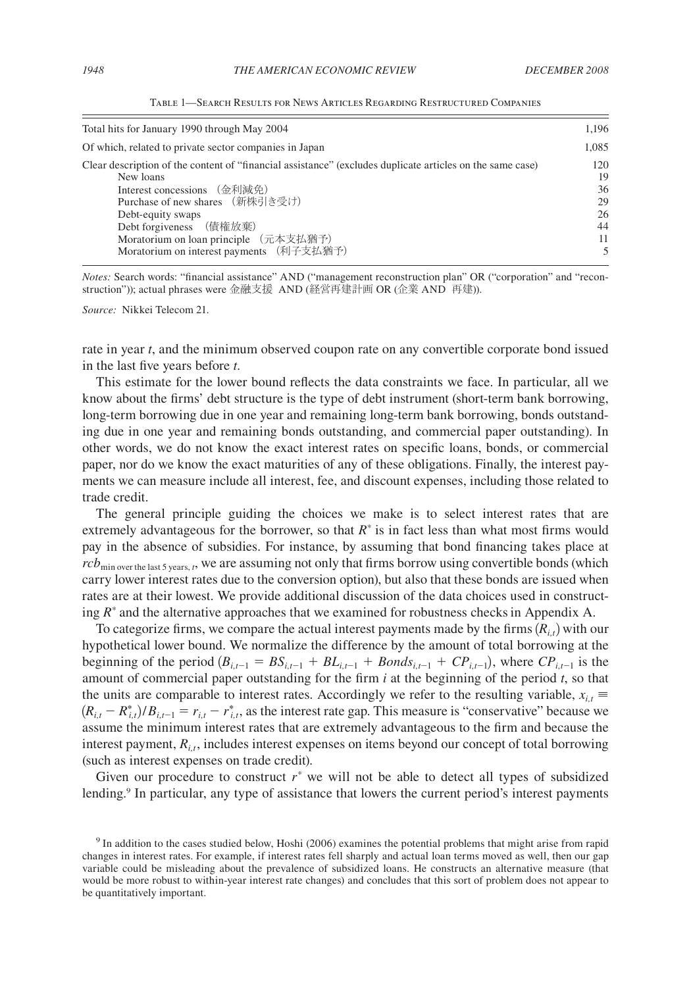| Total hits for January 1990 through May 2004                                                                                                                                                                                                                                                                                  | 1,196                                        |
|-------------------------------------------------------------------------------------------------------------------------------------------------------------------------------------------------------------------------------------------------------------------------------------------------------------------------------|----------------------------------------------|
| Of which, related to private sector companies in Japan                                                                                                                                                                                                                                                                        | 1,085                                        |
| Clear description of the content of "financial assistance" (excludes duplicate articles on the same case)<br>New loans<br>Interest concessions (金利減免)<br>Purchase of new shares (新株引き受け)<br>Debt-equity swaps<br>Debt forgiveness (債権放棄)<br>Moratorium on loan principle (元本支払猶予)<br>Moratorium on interest payments (利子支払猶予) | 120<br>19<br>36<br>29<br>26<br>44<br>11<br>5 |

Table 1—Search Results for News Articles Regarding Restructured Companies

*Notes:* Search words: "financial assistance" AND ("management reconstruction plan" OR ("corporation" and "reconstruction")); actual phrases were 金融支援 AND (経営再建計画 OR (企業 AND 再建)).

*Source:* Nikkei Telecom 21.

rate in year *t*, and the minimum observed coupon rate on any convertible corporate bond issued in the last five years before *t*.

This estimate for the lower bound reflects the data constraints we face. In particular, all we know about the firms' debt structure is the type of debt instrument (short-term bank borrowing, long-term borrowing due in one year and remaining long-term bank borrowing, bonds outstanding due in one year and remaining bonds outstanding, and commercial paper outstanding). In other words, we do not know the exact interest rates on specific loans, bonds, or commercial paper, nor do we know the exact maturities of any of these obligations. Finally, the interest payments we can measure include all interest, fee, and discount expenses, including those related to trade credit.

The general principle guiding the choices we make is to select interest rates that are extremely advantageous for the borrower, so that  $R^*$  is in fact less than what most firms would pay in the absence of subsidies. For instance, by assuming that bond financing takes place at *rcb*min over the last 5 years, *t*, we are assuming not only that firms borrow using convertible bonds (which carry lower interest rates due to the conversion option), but also that these bonds are issued when rates are at their lowest. We provide additional discussion of the data choices used in constructing *R\** and the alternative approaches that we examined for robustness checksin Appendix A.

To categorize firms, we compare the actual interest payments made by the firms  $(R_{i,t})$  with our hypothetical lower bound. We normalize the difference by the amount of total borrowing at the beginning of the period  $(B_{i,t-1} = BS_{i,t-1} + BL_{i,t-1} + Bonds_{i,t-1} + CP_{i,t-1})$ , where  $CP_{i,t-1}$  is the amount of commercial paper outstanding for the firm *i* at the beginning of the period *t*, so that the units are comparable to interest rates. Accordingly we refer to the resulting variable,  $x_{i,t} \equiv$  $(R_{i,t} - R_{i,t}^*)/B_{i,t-1} = r_{i,t} - r_{i,t}^*$ , as the interest rate gap. This measure is "conservative" because we assume the minimum interest rates that are extremely advantageous to the firm and because the interest payment,  $R_{i,t}$ , includes interest expenses on items beyond our concept of total borrowing (such as interest expenses on trade credit).

Given our procedure to construct  $r^*$  we will not be able to detect all types of subsidized lending.<sup>9</sup> In particular, any type of assistance that lowers the current period's interest payments

<sup>9</sup> In addition to the cases studied below, Hoshi (2006) examines the potential problems that might arise from rapid changes in interest rates. For example, if interest rates fell sharply and actual loan terms moved as well, then our gap variable could be misleading about the prevalence of subsidized loans. He constructs an alternative measure (that would be more robust to within-year interest rate changes) and concludes that this sort of problem does not appear to be quantitatively important.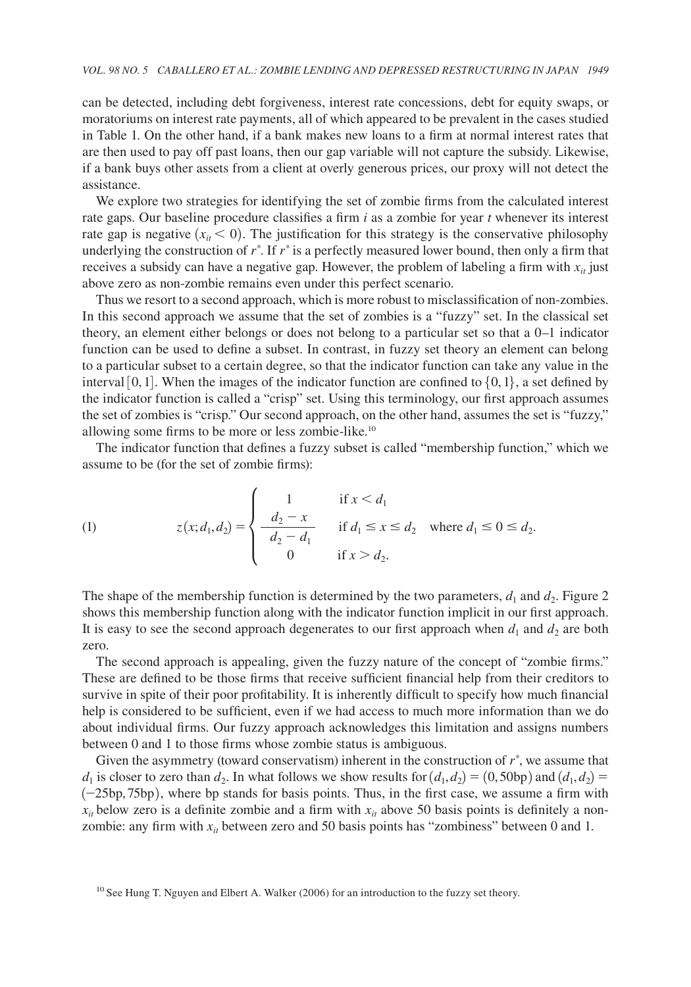can be detected, including debt forgiveness, interest rate concessions, debt for equity swaps, or moratoriums on interest rate payments, all of which appeared to be prevalent in the cases studied in Table 1. On the other hand, if a bank makes new loans to a firm at normal interest rates that are then used to pay off past loans, then our gap variable will not capture the subsidy. Likewise, if a bank buys other assets from a client at overly generous prices, our proxy will not detect the assistance.

We explore two strategies for identifying the set of zombie firms from the calculated interest rate gaps. Our baseline procedure classifies a firm *i* as a zombie for year *t* whenever its interest rate gap is negative  $(x_{it} < 0)$ . The justification for this strategy is the conservative philosophy underlying the construction of *r\** . If *r\** is a perfectly measured lower bound, then only a firm that receives a subsidy can have a negative gap. However, the problem of labeling a firm with  $x_{it}$  just above zero as non-zombie remains even under this perfect scenario.

Thus we resort to a second approach, which is more robust to misclassification of non-zombies. In this second approach we assume that the set of zombies is a "fuzzy" set. In the classical set theory, an element either belongs or does not belong to a particular set so that a 0–1 indicator function can be used to define a subset. In contrast, in fuzzy set theory an element can belong to a particular subset to a certain degree, so that the indicator function can take any value in the interval [0, 1]. When the images of the indicator function are confined to  $\{0, 1\}$ , a set defined by the indicator function is called a "crisp" set. Using this terminology, our first approach assumes the set of zombies is "crisp." Our second approach, on the other hand, assumes the set is "fuzzy," allowing some firms to be more or less zombie-like.10

The indicator function that defines a fuzzy subset is called "membership function," which we assume to be (for the set of zombie firms):

(1) 
$$
z(x; d_1, d_2) = \begin{cases} 1 & \text{if } x < d_1 \\ \frac{d_2 - x}{d_2 - d_1} & \text{if } d_1 \le x \le d_2 \\ 0 & \text{if } x > d_2. \end{cases} \text{ where } d_1 \le 0 \le d_2.
$$

The shape of the membership function is determined by the two parameters,  $d_1$  and  $d_2$ . Figure 2 shows this membership function along with the indicator function implicit in our first approach. It is easy to see the second approach degenerates to our first approach when  $d_1$  and  $d_2$  are both zero.

The second approach is appealing, given the fuzzy nature of the concept of "zombie firms." These are defined to be those firms that receive sufficient financial help from their creditors to survive in spite of their poor profitability. It is inherently difficult to specify how much financial help is considered to be sufficient, even if we had access to much more information than we do about individual firms. Our fuzzy approach acknowledges this limitation and assigns numbers between 0 and 1 to those firms whose zombie status is ambiguous.

Given the asymmetry (toward conservatism) inherent in the construction of *r\**, we assume that *d*<sub>1</sub> is closer to zero than  $d_2$ . In what follows we show results for  $(d_1, d_2) = (0, 50bp)$  and  $(d_1, d_2) =$  $(-25bp, 75bp)$ , where bp stands for basis points. Thus, in the first case, we assume a firm with  $x_{it}$  below zero is a definite zombie and a firm with  $x_{it}$  above 50 basis points is definitely a nonzombie: any firm with  $x_{it}$  between zero and 50 basis points has "zombiness" between 0 and 1.

<sup>&</sup>lt;sup>10</sup> See Hung T. Nguyen and Elbert A. Walker (2006) for an introduction to the fuzzy set theory.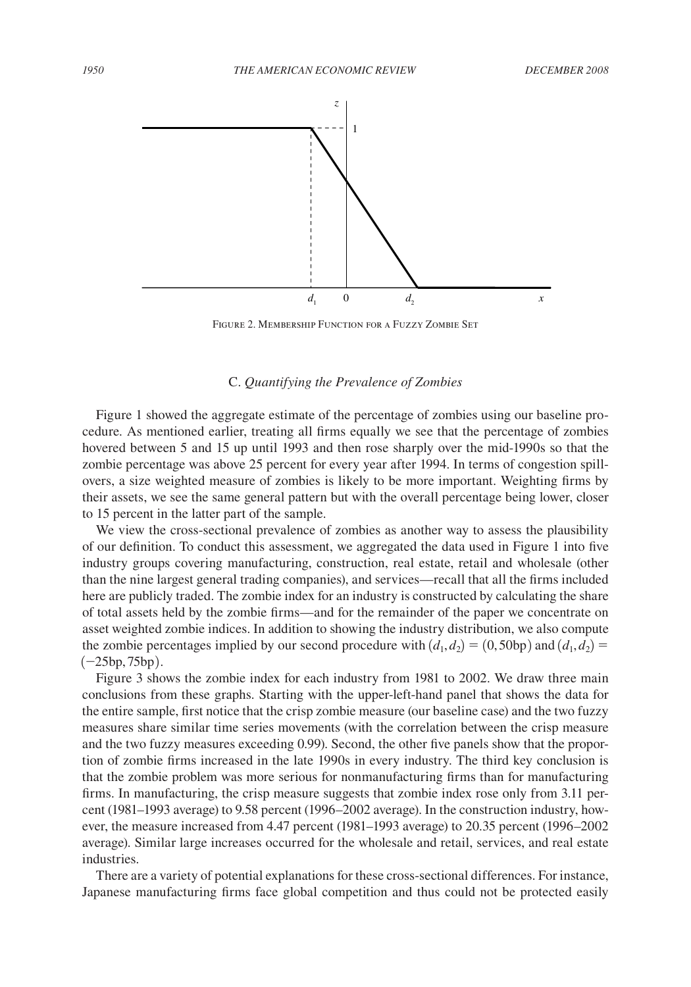

Figure 2. Membership Function for a Fuzzy Zombie Set

# C. *Quantifying the Prevalence of Zombies*

Figure 1 showed the aggregate estimate of the percentage of zombies using our baseline procedure. As mentioned earlier, treating all firms equally we see that the percentage of zombies hovered between 5 and 15 up until 1993 and then rose sharply over the mid-1990s so that the zombie percentage was above 25 percent for every year after 1994. In terms of congestion spillovers, a size weighted measure of zombies is likely to be more important. Weighting firms by their assets, we see the same general pattern but with the overall percentage being lower, closer to 15 percent in the latter part of the sample.

We view the cross-sectional prevalence of zombies as another way to assess the plausibility of our definition. To conduct this assessment, we aggregated the data used in Figure 1 into five industry groups covering manufacturing, construction, real estate, retail and wholesale (other than the nine largest general trading companies), and services—recall that all the firms included here are publicly traded. The zombie index for an industry is constructed by calculating the share of total assets held by the zombie firms—and for the remainder of the paper we concentrate on asset weighted zombie indices. In addition to showing the industry distribution, we also compute the zombie percentages implied by our second procedure with  $(d_1, d_2) = (0, 50bp)$  and  $(d_1, d_2) =$  $(-25bp, 75bp)$ .

Figure 3 shows the zombie index for each industry from 1981 to 2002. We draw three main conclusions from these graphs. Starting with the upper-left-hand panel that shows the data for the entire sample, first notice that the crisp zombie measure (our baseline case) and the two fuzzy measures share similar time series movements (with the correlation between the crisp measure and the two fuzzy measures exceeding 0.99). Second, the other five panels show that the proportion of zombie firms increased in the late 1990s in every industry. The third key conclusion is that the zombie problem was more serious for nonmanufacturing firms than for manufacturing firms. In manufacturing, the crisp measure suggests that zombie index rose only from 3.11 percent (1981–1993 average) to 9.58 percent (1996–2002 average). In the construction industry, however, the measure increased from 4.47 percent (1981–1993 average) to 20.35 percent (1996–2002 average). Similar large increases occurred for the wholesale and retail, services, and real estate industries.

There are a variety of potential explanations for these cross-sectional differences. For instance, Japanese manufacturing firms face global competition and thus could not be protected easily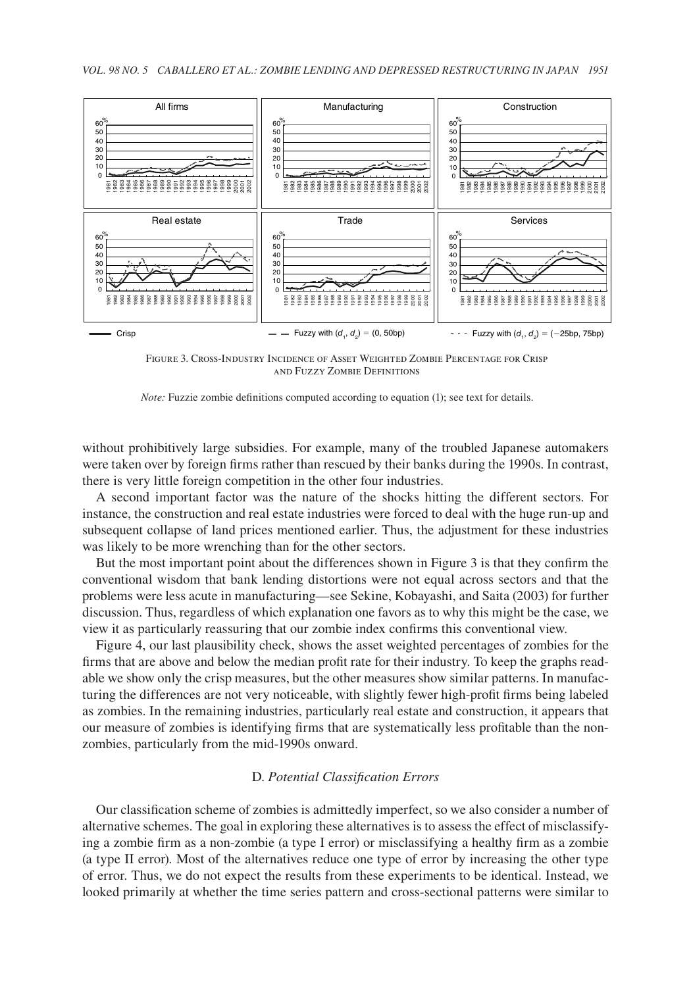

Figure 3. Cross-Industry Incidence of Asset Weighted Zombie Percentage for Crisp and Fuzzy Zombie Definitions

*Note:* Fuzzie zombie definitions computed according to equation (1); see text for details.

without prohibitively large subsidies. For example, many of the troubled Japanese automakers were taken over by foreign firms rather than rescued by their banks during the 1990s. In contrast, there is very little foreign competition in the other four industries.

A second important factor was the nature of the shocks hitting the different sectors. For instance, the construction and real estate industries were forced to deal with the huge run-up and subsequent collapse of land prices mentioned earlier. Thus, the adjustment for these industries was likely to be more wrenching than for the other sectors.

But the most important point about the differences shown in Figure 3 is that they confirm the conventional wisdom that bank lending distortions were not equal across sectors and that the problems were less acute in manufacturing—see Sekine, Kobayashi, and Saita (2003) for further discussion. Thus, regardless of which explanation one favors as to why this might be the case, we view it as particularly reassuring that our zombie index confirms this conventional view.

Figure 4, our last plausibility check, shows the asset weighted percentages of zombies for the firms that are above and below the median profit rate for their industry. To keep the graphs readable we show only the crisp measures, but the other measures show similar patterns. In manufacturing the differences are not very noticeable, with slightly fewer high-profit firms being labeled as zombies. In the remaining industries, particularly real estate and construction, it appears that our measure of zombies is identifying firms that are systematically less profitable than the nonzombies, particularly from the mid-1990s onward.

# D. *Potential Classification Errors*

Our classification scheme of zombies is admittedly imperfect, so we also consider a number of alternative schemes. The goal in exploring these alternatives is to assess the effect of misclassifying a zombie firm as a non-zombie (a type I error) or misclassifying a healthy firm as a zombie (a type II error). Most of the alternatives reduce one type of error by increasing the other type of error. Thus, we do not expect the results from these experiments to be identical. Instead, we looked primarily at whether the time series pattern and cross-sectional patterns were similar to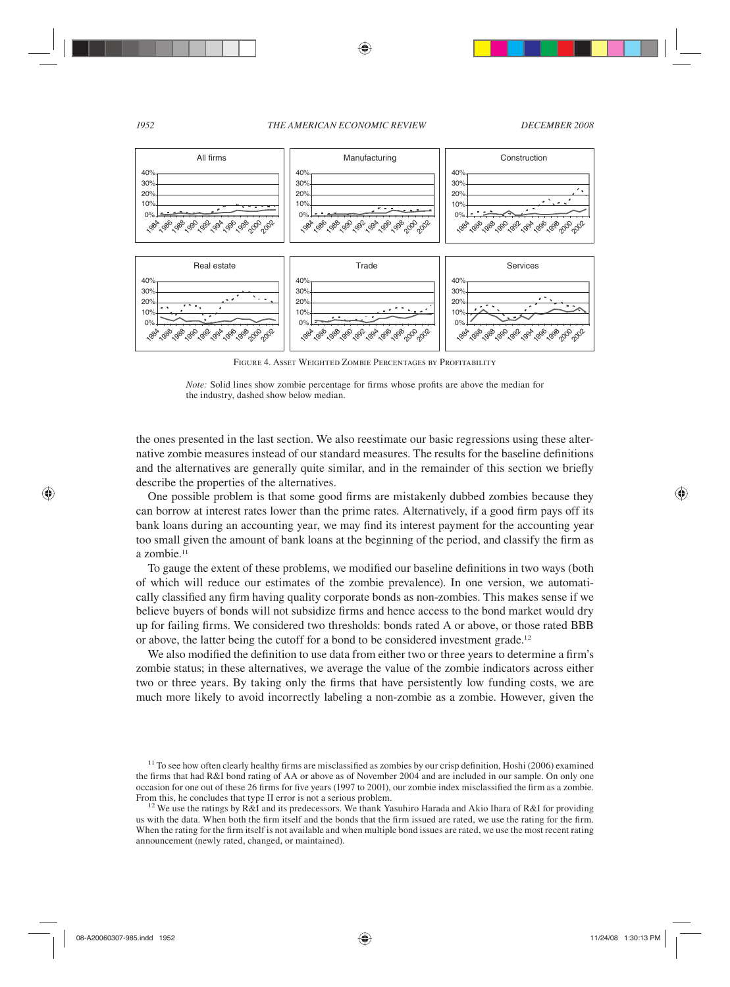

Figure 4. Asset Weighted Zombie Percentages by Profitability

*Note:* Solid lines show zombie percentage for firms whose profits are above the median for the industry, dashed show below median.

the ones presented in the last section. We also reestimate our basic regressions using these alternative zombie measures instead of our standard measures. The results for the baseline definitions and the alternatives are generally quite similar, and in the remainder of this section we briefly describe the properties of the alternatives.

One possible problem is that some good firms are mistakenly dubbed zombies because they can borrow at interest rates lower than the prime rates. Alternatively, if a good firm pays off its bank loans during an accounting year, we may find its interest payment for the accounting year too small given the amount of bank loans at the beginning of the period, and classify the firm as a zombie.11

To gauge the extent of these problems, we modified our baseline definitions in two ways (both of which will reduce our estimates of the zombie prevalence). In one version, we automatically classified any firm having quality corporate bonds as non-zombies. This makes sense if we believe buyers of bonds will not subsidize firms and hence access to the bond market would dry up for failing firms. We considered two thresholds: bonds rated A or above, or those rated BBB or above, the latter being the cutoff for a bond to be considered investment grade.<sup>12</sup>

We also modified the definition to use data from either two or three years to determine a firm's zombie status; in these alternatives, we average the value of the zombie indicators across either two or three years. By taking only the firms that have persistently low funding costs, we are much more likely to avoid incorrectly labeling a non-zombie as a zombie. However, given the

 $11$  To see how often clearly healthy firms are misclassified as zombies by our crisp definition, Hoshi (2006) examined the firms that had R&I bond rating of AA or above as of November 2004 and are included in our sample. On only one occasion for one out of these 26 firms for five years (1997 to 2001), our zombie index misclassified the firm as a zombie.<br>From this, he concludes that type II error is not a serious problem.

<sup>&</sup>lt;sup>12</sup> We use the ratings by R&I and its predecessors. We thank Yasuhiro Harada and Akio Ihara of R&I for providing us with the data. When both the firm itself and the bonds that the firm issued are rated, we use the rating for the firm. When the rating for the firm itself is not available and when multiple bond issues are rated, we use the most recent rating announcement (newly rated, changed, or maintained).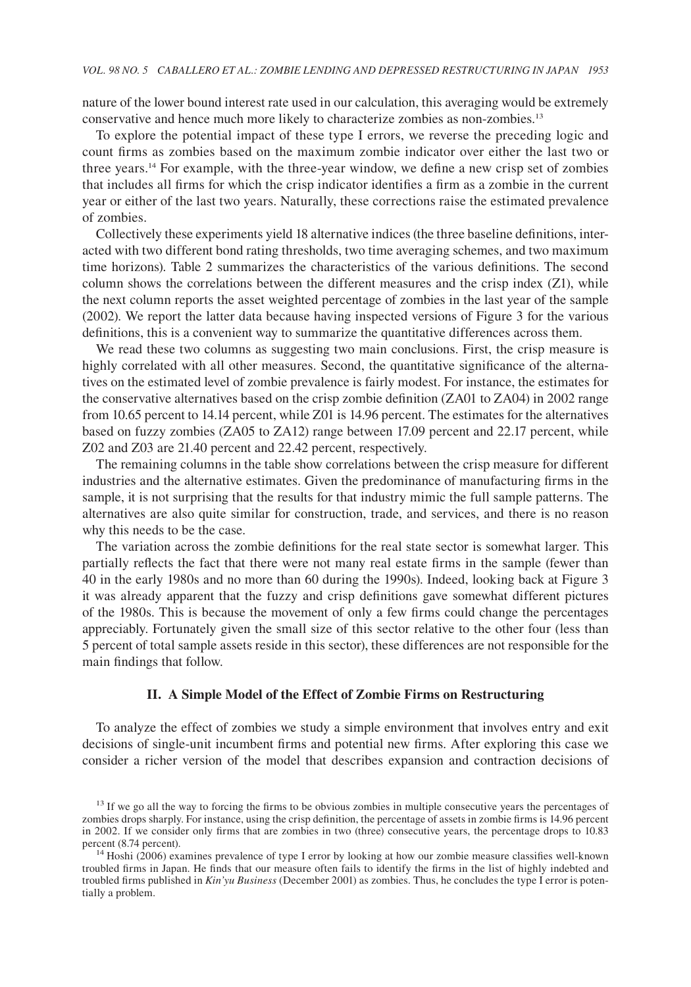nature of the lower bound interest rate used in our calculation, this averaging would be extremely conservative and hence much more likely to characterize zombies as non-zombies.13

To explore the potential impact of these type I errors, we reverse the preceding logic and count firms as zombies based on the maximum zombie indicator over either the last two or three years.14 For example, with the three-year window, we define a new crisp set of zombies that includes all firms for which the crisp indicator identifies a firm as a zombie in the current year or either of the last two years. Naturally, these corrections raise the estimated prevalence of zombies.

Collectively these experiments yield 18 alternative indices (the three baseline definitions, interacted with two different bond rating thresholds, two time averaging schemes, and two maximum time horizons). Table 2 summarizes the characteristics of the various definitions. The second column shows the correlations between the different measures and the crisp index (Z1), while the next column reports the asset weighted percentage of zombies in the last year of the sample (2002). We report the latter data because having inspected versions of Figure 3 for the various definitions, this is a convenient way to summarize the quantitative differences across them.

We read these two columns as suggesting two main conclusions. First, the crisp measure is highly correlated with all other measures. Second, the quantitative significance of the alternatives on the estimated level of zombie prevalence is fairly modest. For instance, the estimates for the conservative alternatives based on the crisp zombie definition (ZA01 to ZA04) in 2002 range from 10.65 percent to 14.14 percent, while Z01 is 14.96 percent. The estimates for the alternatives based on fuzzy zombies (ZA05 to ZA12) range between 17.09 percent and 22.17 percent, while Z02 and Z03 are 21.40 percent and 22.42 percent, respectively.

The remaining columns in the table show correlations between the crisp measure for different industries and the alternative estimates. Given the predominance of manufacturing firms in the sample, it is not surprising that the results for that industry mimic the full sample patterns. The alternatives are also quite similar for construction, trade, and services, and there is no reason why this needs to be the case.

The variation across the zombie definitions for the real state sector is somewhat larger. This partially reflects the fact that there were not many real estate firms in the sample (fewer than 40 in the early 1980s and no more than 60 during the 1990s). Indeed, looking back at Figure 3 it was already apparent that the fuzzy and crisp definitions gave somewhat different pictures of the 1980s. This is because the movement of only a few firms could change the percentages appreciably. Fortunately given the small size of this sector relative to the other four (less than 5 percent of total sample assets reside in this sector), these differences are not responsible for the main findings that follow.

#### **II. A Simple Model of the Effect of Zombie Firms on Restructuring**

To analyze the effect of zombies we study a simple environment that involves entry and exit decisions of single-unit incumbent firms and potential new firms. After exploring this case we consider a richer version of the model that describes expansion and contraction decisions of

<sup>&</sup>lt;sup>13</sup> If we go all the way to forcing the firms to be obvious zombies in multiple consecutive years the percentages of zombies drops sharply. For instance, using the crisp definition, the percentage of assets in zombie firms is 14.96 percent in 2002. If we consider only firms that are zombies in two (three) consecutive years, the percentage drops to 10.83 percent (8.74 percent).

<sup>&</sup>lt;sup>14</sup> Hoshi (2006) examines prevalence of type I error by looking at how our zombie measure classifies well-known troubled firms in Japan. He finds that our measure often fails to identify the firms in the list of highly indebted and troubled firms published in *Kin'yu Business* (December 2001) as zombies. Thus, he concludes the type I error is potentially a problem.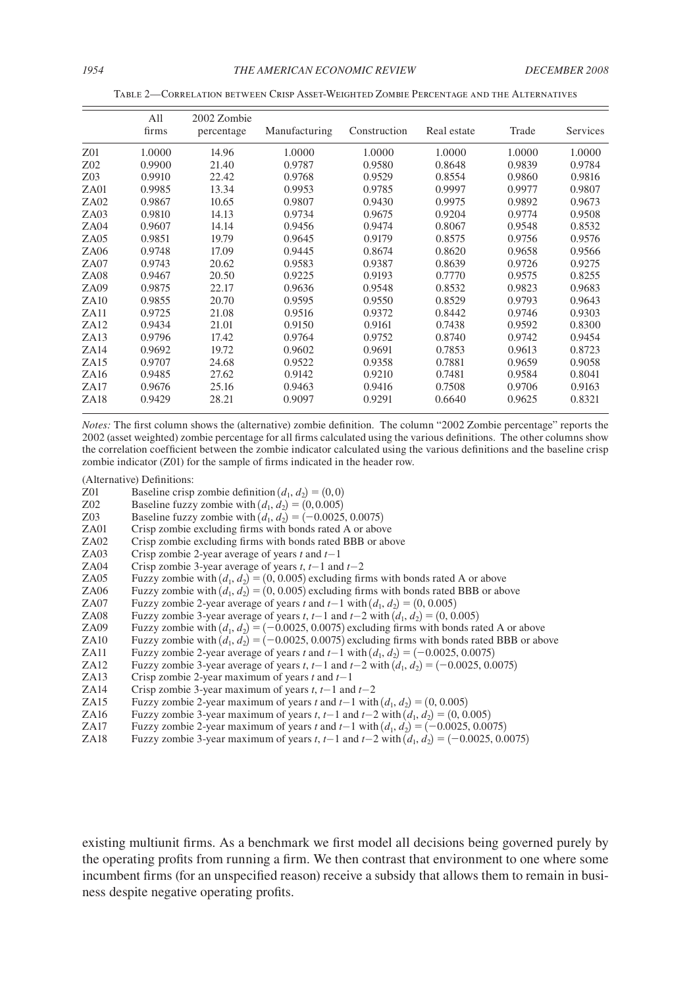Table 2—Correlation between Crisp Asset-Weighted Zombie Percentage and the Alternatives

|                  | All<br>firms | 2002 Zombie<br>percentage | Manufacturing | Construction | Real estate | Trade  | Services |
|------------------|--------------|---------------------------|---------------|--------------|-------------|--------|----------|
| Z <sub>01</sub>  | 1.0000       | 14.96                     | 1.0000        | 1.0000       | 1.0000      | 1.0000 | 1.0000   |
| Z <sub>02</sub>  | 0.9900       | 21.40                     | 0.9787        | 0.9580       | 0.8648      | 0.9839 | 0.9784   |
| Z <sub>03</sub>  | 0.9910       | 22.42                     | 0.9768        | 0.9529       | 0.8554      | 0.9860 | 0.9816   |
| ZA01             | 0.9985       | 13.34                     | 0.9953        | 0.9785       | 0.9997      | 0.9977 | 0.9807   |
| ZA02             | 0.9867       | 10.65                     | 0.9807        | 0.9430       | 0.9975      | 0.9892 | 0.9673   |
| ZA03             | 0.9810       | 14.13                     | 0.9734        | 0.9675       | 0.9204      | 0.9774 | 0.9508   |
| ZA04             | 0.9607       | 14.14                     | 0.9456        | 0.9474       | 0.8067      | 0.9548 | 0.8532   |
| ZA05             | 0.9851       | 19.79                     | 0.9645        | 0.9179       | 0.8575      | 0.9756 | 0.9576   |
| ZA06             | 0.9748       | 17.09                     | 0.9445        | 0.8674       | 0.8620      | 0.9658 | 0.9566   |
| ZA07             | 0.9743       | 20.62                     | 0.9583        | 0.9387       | 0.8639      | 0.9726 | 0.9275   |
| ZA08             | 0.9467       | 20.50                     | 0.9225        | 0.9193       | 0.7770      | 0.9575 | 0.8255   |
| ZA09             | 0.9875       | 22.17                     | 0.9636        | 0.9548       | 0.8532      | 0.9823 | 0.9683   |
| ZA10             | 0.9855       | 20.70                     | 0.9595        | 0.9550       | 0.8529      | 0.9793 | 0.9643   |
| ZA11             | 0.9725       | 21.08                     | 0.9516        | 0.9372       | 0.8442      | 0.9746 | 0.9303   |
| ZA12             | 0.9434       | 21.01                     | 0.9150        | 0.9161       | 0.7438      | 0.9592 | 0.8300   |
| ZA13             | 0.9796       | 17.42                     | 0.9764        | 0.9752       | 0.8740      | 0.9742 | 0.9454   |
| ZA14             | 0.9692       | 19.72                     | 0.9602        | 0.9691       | 0.7853      | 0.9613 | 0.8723   |
| ZA15             | 0.9707       | 24.68                     | 0.9522        | 0.9358       | 0.7881      | 0.9659 | 0.9058   |
| ZA16             | 0.9485       | 27.62                     | 0.9142        | 0.9210       | 0.7481      | 0.9584 | 0.8041   |
| ZA17             | 0.9676       | 25.16                     | 0.9463        | 0.9416       | 0.7508      | 0.9706 | 0.9163   |
| ZA <sub>18</sub> | 0.9429       | 28.21                     | 0.9097        | 0.9291       | 0.6640      | 0.9625 | 0.8321   |

*Notes:* The first column shows the (alternative) zombie definition. The column "2002 Zombie percentage" reports the 2002 (asset weighted) zombie percentage for all firms calculated using the various definitions. The other columns show the correlation coefficient between the zombie indicator calculated using the various definitions and the baseline crisp zombie indicator (Z01) for the sample of firms indicated in the header row.

(Alternative) Definitions:

Z01 Baseline crisp zombie definition  $(d_1, d_2) = (0, 0, 0)$ <br>
Z02 Baseline fuzzy zombie with  $(d_1, d_2) = (0, 0.005)$ 

Z02 Baseline fuzzy zombie with  $(d_1, d_2) = (0, 0.005)$ <br>Z03 Baseline fuzzy zombie with  $(d_1, d_2) = (-0.0025$ 

Z03 Baseline fuzzy zombie with  $\vec{d}_1$ ,  $\vec{d}_2$ ) =  $\vec{c}$  - 0.0025, 0.0075)<br>ZA01 Crisp zombie excluding firms with bonds rated A or abov

ZA01 Crisp zombie excluding firms with bonds rated A or above

- ZA02 Crisp zombie excluding firms with bonds rated BBB or above  $Z$ A03 Crisp zombie 2-year average of years t and  $t-1$
- ZA03 Crisp zombie 2-year average of years *t* and *t*−1

ZA04 Crisp zombie 3-year average of years *t*, *t*−1 and *t*−2<br>ZA05 Fuzzy zombie with  $(d_1, d_2) = (0, 0.005)$  excluding fir

ZA05 Fuzzy zombie with  $(d_1, d_2) = (0, 0.005)$  excluding firms with bonds rated A or above ZA06 Fuzzy zombie with  $(d_1, d_2) = (0, 0.005)$  excluding firms with bonds rated BBB or abo

ZA06 Fuzzy zombie with  $\overline{(d_1, d_2)} = (0, 0.005)$  excluding firms with bonds rated BBB or above ZA07 Fuzzy zombie 2-year average of years t and t-1 with  $(d_1, d_2) = (0, 0.005)$ 

ZA07 Fuzzy zombie 2-year average of years *t* and *t*−1 with  $(d_1, d_2) = (0, 0.005)$ <br>ZA08 Fuzzy zombie 3-year average of years *t*, *t*−1 and *t*−2 with  $(d_1, d_2) = (0, 0.05)$ 

ZA08 Fuzzy zombie 3-year average of years *t*, *t*−1 and *t*−2 with  $\vec{a}$ <sub>1</sub>,  $\vec{a}$ <sub>2</sub>) = (0, 0.005) Fuzzy zombie with  $\vec{a}$ <sub>1</sub>,  $\vec{a}$ <sub>2</sub>) = (−0.0025, 0.0075) excluding firms with bonds ra

ZA09 Fuzzy zombie with  $(d_1, d_2) = (-0.0025, 0.0075)$  excluding firms with bonds rated A or above ZA10 Fuzzy zombie with  $(d_1, d_2) = (-0.0025, 0.0075)$  excluding firms with bonds rated BBB or above

ZA10 Fuzzy zombie with  $\overline{(d_1, d_2)} = (-0.0025, 0.0075)$  excluding firms with bonds rated BBB or above ZA11 Fuzzy zombie 2-year average of years t and t-1 with  $(d_1, d_2) = (-0.0025, 0.0075)$ 

ZA11 Fuzzy zombie 2-year average of years *t* and *t*−1 with  $(d_1, d_2) = (-0.0025, 0.0075)$ <br>ZA12 Fuzzy zombie 3-year average of years *t*, *t*−1 and *t*−2 with  $(d_1, d_2) = (-0.0025, 0.0025)$ 

ZA12 Fuzzy zombie 3-year average of years *t*, *t*−1 and *t*−2 with  $(d_1, d_2) = (-0.0025, 0.0075)$ <br>ZA13 Crisp zombie 2-year maximum of years *t* and *t*−1

ZA13 Crisp zombie 2-year maximum of years *t* and *t*−1

ZA14 Crisp zombie 3-year maximum of years *t*, *t*−1 and *t*−2<br>ZA15 Fuzzy zombie 2-year maximum of years *t* and *t*−1 with

- ZA15 Fuzzy zombie 2-year maximum of years *t* and *t*−1 with  $(d_1, d_2) = (0, 0.005)$ <br>ZA16 Fuzzy zombie 3-year maximum of years *t*, *t*−1 and *t*−2 with  $(d_1, d_2) = (0, 0.05)$
- ZA16 Fuzzy zombie 3-year maximum of years *t*, *t*−1 and *t*−2 with  $\overline{(d_1, d_2)} = (0, 0.005)$ <br>ZA17 Fuzzy zombie 2-year maximum of years *t* and *t*−1 with  $(d_1, d_2) = (-0.0025, 0.0025)$
- ZA17 Fuzzy zombie 2-year maximum of years *t* and *t*−1 with  $(d_1, d_2) = (-0.0025, 0.0075)$ <br>ZA18 Fuzzy zombie 3-year maximum of years *t*, *t*−1 and *t*−2 with  $(d_1, d_2) = (-0.0025, 0.0075)$
- Fuzzy zombie 3-year maximum of years *t*, *t*−1 and *t*−2 with  $(d_1, d_2) = (-0.0025, 0.0075)$

existing multiunit firms. As a benchmark we first model all decisions being governed purely by the operating profits from running a firm. We then contrast that environment to one where some incumbent firms (for an unspecified reason) receive a subsidy that allows them to remain in business despite negative operating profits.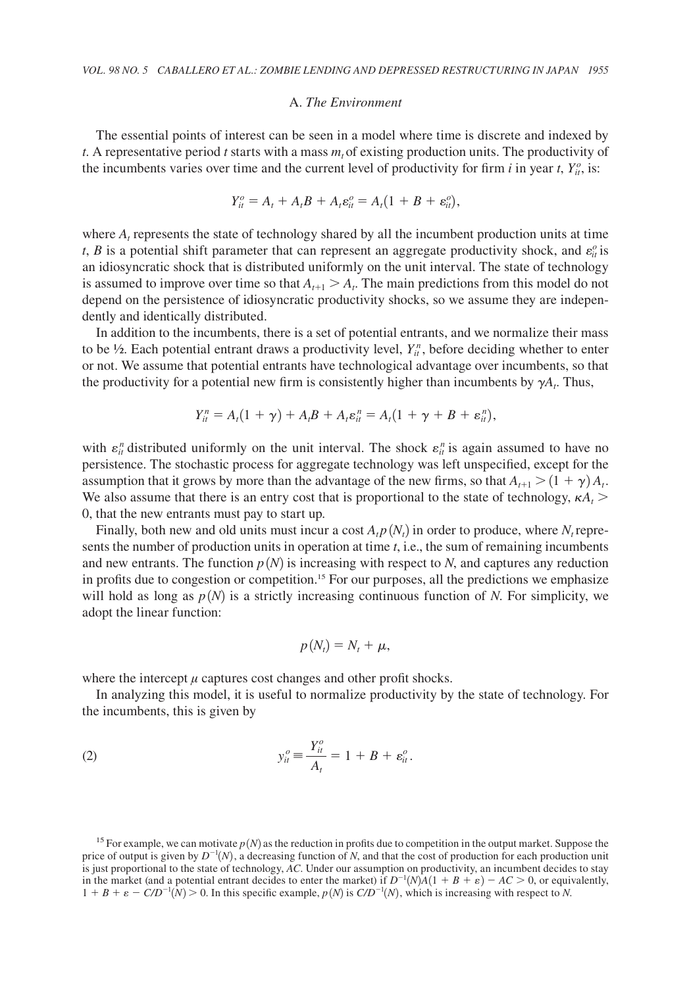#### A. *The Environment*

The essential points of interest can be seen in a model where time is discrete and indexed by *t*. A representative period *t* starts with a mass  $m_t$  of existing production units. The productivity of the incumbents varies over time and the current level of productivity for firm  $i$  in year  $t$ ,  $Y_{it}^o$ , is:

$$
Y_{it}^o = A_t + A_t B + A_t \varepsilon_{it}^o = A_t (1 + B + \varepsilon_{it}^o),
$$

where  $A_t$  represents the state of technology shared by all the incumbent production units at time *t*, *B* is a potential shift parameter that can represent an aggregate productivity shock, and  $\varepsilon_{it}^o$  is an idiosyncratic shock that is distributed uniformly on the unit interval. The state of technology is assumed to improve over time so that  $A_{t+1} > A_t$ . The main predictions from this model do not depend on the persistence of idiosyncratic productivity shocks, so we assume they are independently and identically distributed.

In addition to the incumbents, there is a set of potential entrants, and we normalize their mass to be  $\frac{1}{2}$ . Each potential entrant draws a productivity level,  $Y_{ii}^n$ , before deciding whether to enter or not. We assume that potential entrants have technological advantage over incumbents, so that the productivity for a potential new firm is consistently higher than incumbents by  $\gamma A_t$ . Thus,

$$
Y_{it}^n = A_t(1 + \gamma) + A_t B + A_t \varepsilon_{it}^n = A_t(1 + \gamma + B + \varepsilon_{it}^n),
$$

with  $\varepsilon_{it}^n$  distributed uniformly on the unit interval. The shock  $\varepsilon_{it}^n$  is again assumed to have no persistence. The stochastic process for aggregate technology was left unspecified, except for the assumption that it grows by more than the advantage of the new firms, so that  $A_{t+1} > (1 + \gamma)A_t$ . We also assume that there is an entry cost that is proportional to the state of technology,  $\kappa A_t$  > 0, that the new entrants must pay to start up.

Finally, both new and old units must incur a cost  $A_t p(N_t)$  in order to produce, where  $N_t$  represents the number of production units in operation at time *t*, i.e., the sum of remaining incumbents and new entrants. The function  $p(N)$  is increasing with respect to *N*, and captures any reduction in profits due to congestion or competition.<sup>15</sup> For our purposes, all the predictions we emphasize will hold as long as  $p(N)$  is a strictly increasing continuous function of *N*. For simplicity, we adopt the linear function:

$$
p\left(N_t\right)=N_t+\mu,
$$

where the intercept  $\mu$  captures cost changes and other profit shocks.

In analyzing this model, it is useful to normalize productivity by the state of technology. For the incumbents, this is given by

(2) 
$$
y_{ii}^o = \frac{Y_{ii}^o}{A_t} = 1 + B + \varepsilon_{ii}^o.
$$

<sup>15</sup> For example, we can motivate  $p(N)$  as the reduction in profits due to competition in the output market. Suppose the price of output is given by  $D^{-1}(N)$ , a decreasing function of *N*, and that the cost of production for each production unit is just proportional to the state of technology, *AC*. Under our assumption on productivity, an incumbent decides to stay in the market (and a potential entrant decides to enter the market) if  $D^{-1}(N)A(1 + B + \varepsilon) - AC > 0$ , or equivalently,  $1 + B + \varepsilon - C/D^{-1}(N) > 0$ . In this specific example,  $p(N)$  is  $C/D^{-1}(N)$ , which is increasing with respect to *N*.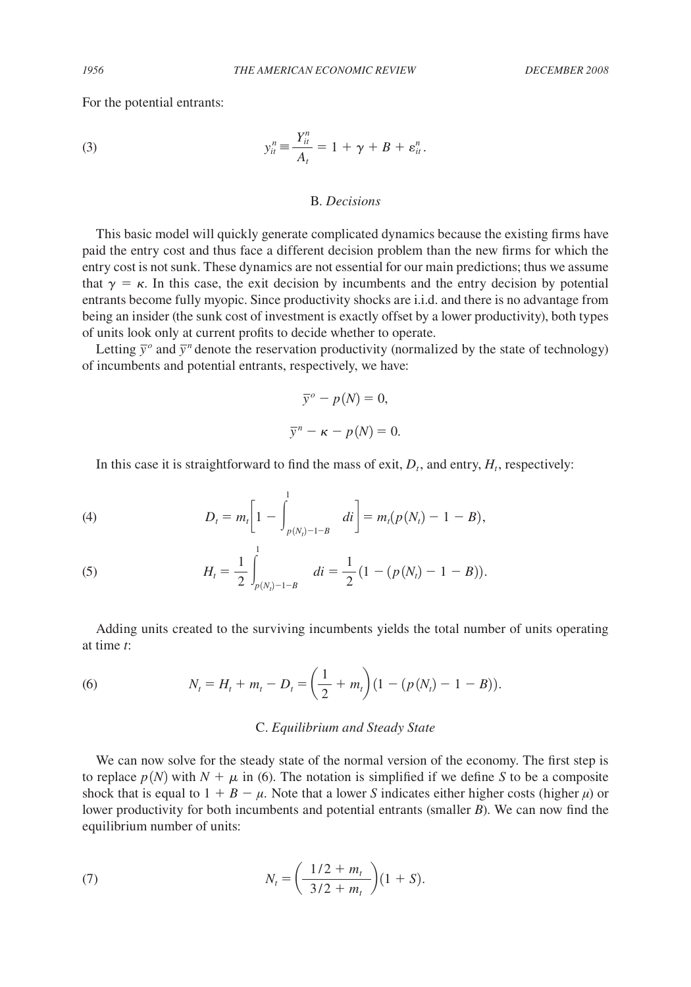For the potential entrants:

(3) 
$$
y_{ii}^n \equiv \frac{Y_{ii}^n}{A_t} = 1 + \gamma + B + \varepsilon_{ii}^n.
$$

#### B. *Decisions*

This basic model will quickly generate complicated dynamics because the existing firms have paid the entry cost and thus face a different decision problem than the new firms for which the entry cost is not sunk. These dynamics are not essential for our main predictions; thus we assume that  $\gamma = \kappa$ . In this case, the exit decision by incumbents and the entry decision by potential entrants become fully myopic. Since productivity shocks are i.i.d. and there is no advantage from being an insider (the sunk cost of investment is exactly offset by a lower productivity), both types of units look only at current profits to decide whether to operate.

Letting  $\bar{y}^o$  and  $\bar{y}^n$  denote the reservation productivity (normalized by the state of technology) of incumbents and potential entrants, respectively, we have:

$$
\overline{y}^o - p(N) = 0,
$$
  

$$
\overline{y}^n - \kappa - p(N) = 0.
$$

In this case it is straightforward to find the mass of exit,  $D_t$ , and entry,  $H_t$ , respectively:

(4) 
$$
D_t = m_t \left[ 1 - \int_{p(N_t)-1-B}^1 dt \right] = m_t (p(N_t)-1-B),
$$

(5) 
$$
H_t = \frac{1}{2} \int_{p(N_t)-1-B}^1 du = \frac{1}{2} (1 - (p(N_t) - 1 - B)).
$$

Adding units created to the surviving incumbents yields the total number of units operating at time *t*:

(6) 
$$
N_t = H_t + m_t - D_t = \left(\frac{1}{2} + m_t\right) (1 - (p(N_t) - 1 - B)).
$$

## C. *Equilibrium and Steady State*

We can now solve for the steady state of the normal version of the economy. The first step is to replace  $p(N)$  with  $N + \mu$  in (6). The notation is simplified if we define *S* to be a composite shock that is equal to  $1 + B - \mu$ . Note that a lower *S* indicates either higher costs (higher  $\mu$ ) or lower productivity for both incumbents and potential entrants (smaller *B*). We can now find the equilibrium number of units:

(7) 
$$
N_t = \left(\frac{1/2 + m_t}{3/2 + m_t}\right)(1 + S).
$$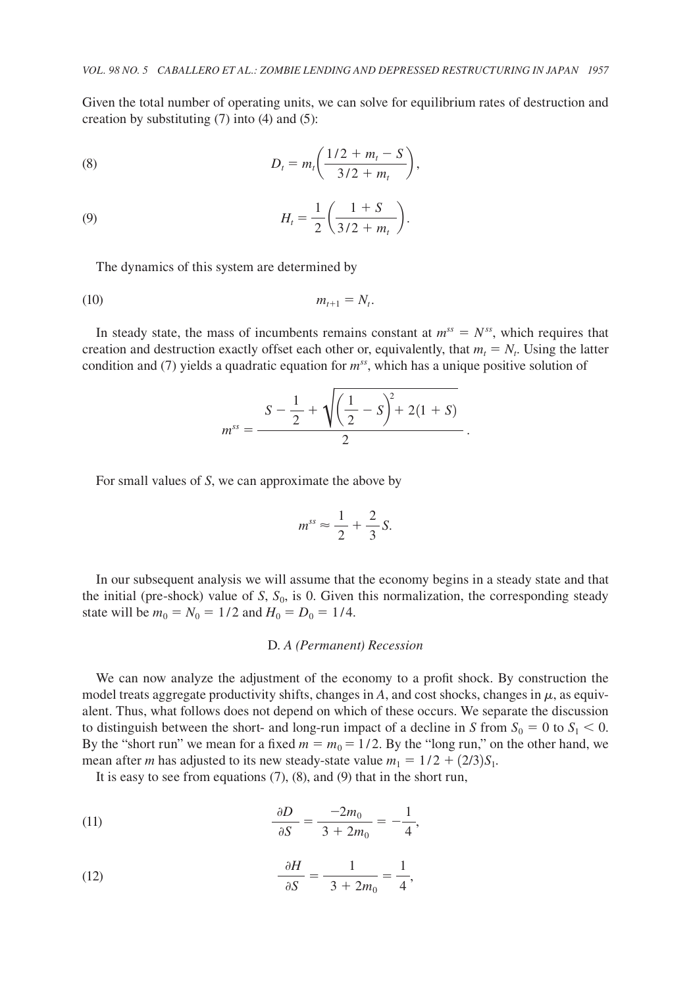Given the total number of operating units, we can solve for equilibrium rates of destruction and creation by substituting (7) into (4) and (5):

(8) 
$$
D_t = m_t \bigg( \frac{1/2 + m_t - S}{3/2 + m_t} \bigg),
$$

(9) 
$$
H_t = \frac{1}{2} \left( \frac{1+S}{3/2 + m_t} \right).
$$

The dynamics of this system are determined by

$$
m_{t+1} = N_t.
$$

In steady state, the mass of incumbents remains constant at  $m^{ss} = N^{ss}$ , which requires that creation and destruction exactly offset each other or, equivalently, that  $m_t = N_t$ . Using the latter condition and (7) yields a quadratic equation for *mss*, which has a unique positive solution of

$$
m^{ss} = \frac{S - \frac{1}{2} + \sqrt{(\frac{1}{2} - S)^2 + 2(1 + S)}}{2}.
$$

For small values of *S*, we can approximate the above by

$$
m^{ss} \approx \frac{1}{2} + \frac{2}{3}S.
$$

In our subsequent analysis we will assume that the economy begins in a steady state and that the initial (pre-shock) value of *S*, *S*0, is 0. Given this normalization, the corresponding steady state will be  $m_0 = N_0 = 1/2$  and  $H_0 = D_0 = 1/4$ .

## D. *A (Permanent) Recession*

We can now analyze the adjustment of the economy to a profit shock. By construction the model treats aggregate productivity shifts, changes in  $A$ , and cost shocks, changes in  $\mu$ , as equivalent. Thus, what follows does not depend on which of these occurs. We separate the discussion to distinguish between the short- and long-run impact of a decline in *S* from  $S_0 = 0$  to  $S_1 < 0$ . By the "short run" we mean for a fixed  $m = m_0 = 1/2$ . By the "long run," on the other hand, we mean after *m* has adjusted to its new steady-state value  $m_1 = 1/2 + (2/3)S_1$ .

It is easy to see from equations (7), (8), and (9) that in the short run,

(11) 
$$
\frac{\partial D}{\partial S} = \frac{-2m_0}{3 + 2m_0} = -\frac{1}{4},
$$

(12) 
$$
\frac{\partial H}{\partial S} = \frac{1}{3 + 2m_0} = \frac{1}{4},
$$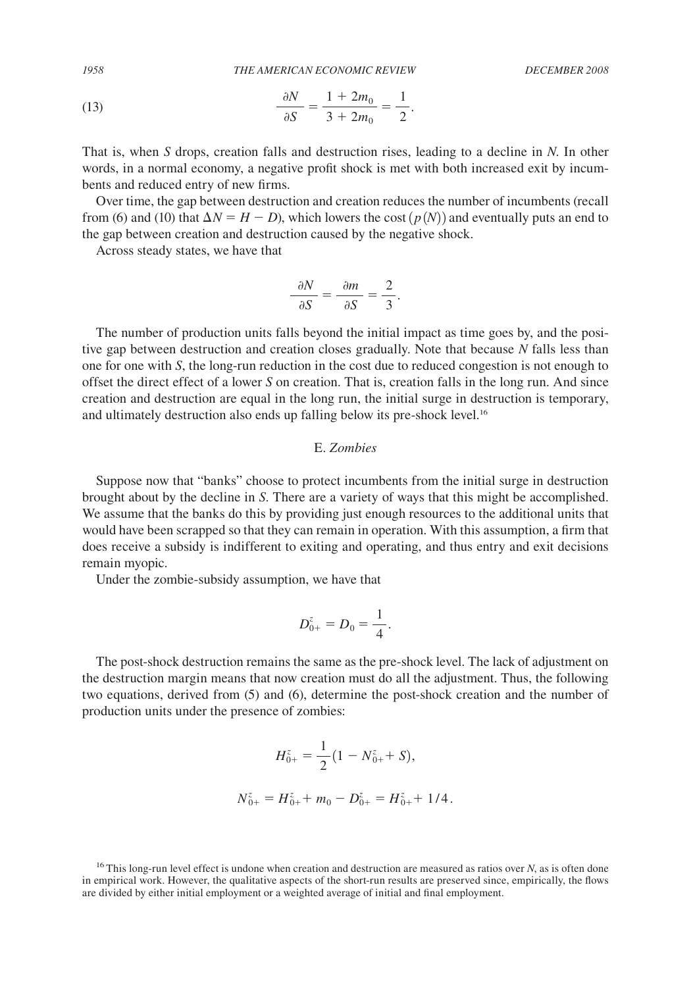*1958 THE AMERICAN ECONOMIC REVIEW DECEMBER 2008*

(13) 
$$
\frac{\partial N}{\partial S} = \frac{1 + 2m_0}{3 + 2m_0} = \frac{1}{2}.
$$

That is, when *S* drops, creation falls and destruction rises, leading to a decline in *N*. In other words, in a normal economy, a negative profit shock is met with both increased exit by incumbents and reduced entry of new firms.

Over time, the gap between destruction and creation reduces the number of incumbents (recall from (6) and (10) that  $\Delta N = H - D$ ), which lowers the cost  $(p(N))$  and eventually puts an end to the gap between creation and destruction caused by the negative shock.

Across steady states, we have that

$$
\frac{\partial N}{\partial S} = \frac{\partial m}{\partial S} = \frac{2}{3}.
$$

The number of production units falls beyond the initial impact as time goes by, and the positive gap between destruction and creation closes gradually. Note that because *N* falls less than one for one with *S*, the long-run reduction in the cost due to reduced congestion is not enough to offset the direct effect of a lower *S* on creation. That is, creation falls in the long run. And since creation and destruction are equal in the long run, the initial surge in destruction is temporary, and ultimately destruction also ends up falling below its pre-shock level.<sup>16</sup>

## E. *Zombies*

Suppose now that "banks" choose to protect incumbents from the initial surge in destruction brought about by the decline in *S*. There are a variety of ways that this might be accomplished. We assume that the banks do this by providing just enough resources to the additional units that would have been scrapped so that they can remain in operation. With this assumption, a firm that does receive a subsidy is indifferent to exiting and operating, and thus entry and exit decisions remain myopic.

Under the zombie-subsidy assumption, we have that

$$
D_{0+}^z = D_0 = \frac{1}{4}.
$$

The post-shock destruction remains the same as the pre-shock level. The lack of adjustment on the destruction margin means that now creation must do all the adjustment. Thus, the following two equations, derived from (5) and (6), determine the post-shock creation and the number of production units under the presence of zombies:

$$
H_{0+}^z=\frac{1}{2}(1-N_{0+}^z+S),
$$

$$
N_{0+}^z = H_{0+}^z + m_0 - D_{0+}^z = H_{0+}^z + 1/4.
$$

<sup>16</sup> This long-run level effect is undone when creation and destruction are measured as ratios over *N*, as is often done in empirical work. However, the qualitative aspects of the short-run results are preserved since, empirically, the flows are divided by either initial employment or a weighted average of initial and final employment.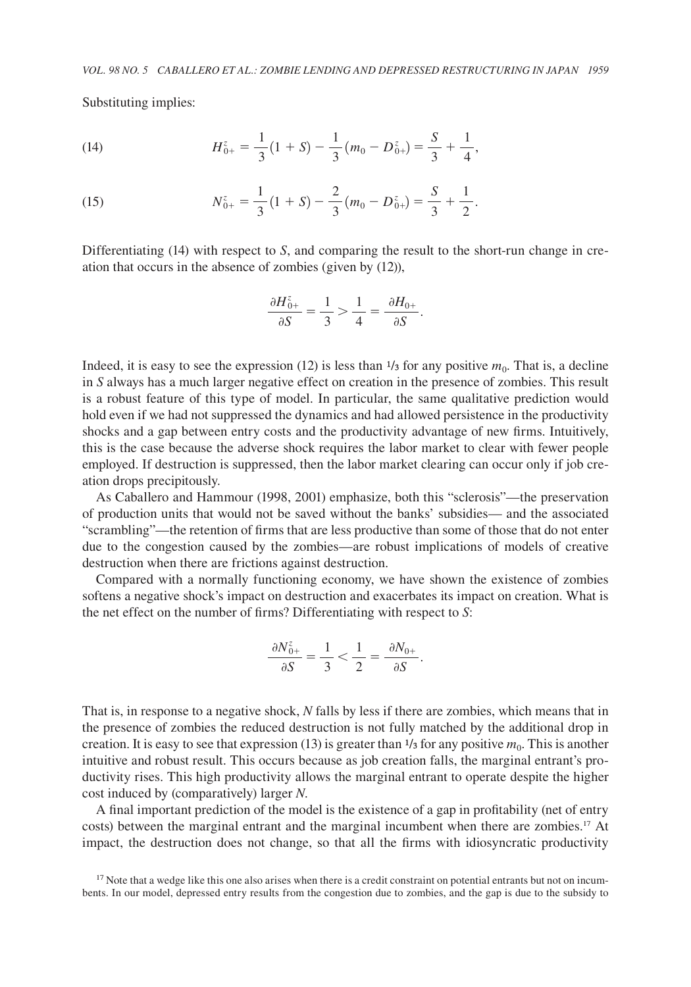Substituting implies:

(14) 
$$
H_{0+}^{z} = \frac{1}{3}(1+S) - \frac{1}{3}(m_{0} - D_{0+}^{z}) = \frac{S}{3} + \frac{1}{4},
$$

(15) 
$$
N_{0+}^{z} = \frac{1}{3}(1+S) - \frac{2}{3}(m_{0}-D_{0+}^{z}) = \frac{S}{3} + \frac{1}{2}.
$$

Differentiating (14) with respect to *S*, and comparing the result to the short-run change in creation that occurs in the absence of zombies (given by (12)),

$$
\frac{\partial H_{0+}^z}{\partial S} = \frac{1}{3} > \frac{1}{4} = \frac{\partial H_{0+}}{\partial S}.
$$

Indeed, it is easy to see the expression  $(12)$  is less than  $1/3$  for any positive  $m_0$ . That is, a decline in *S* always has a much larger negative effect on creation in the presence of zombies. This result is a robust feature of this type of model. In particular, the same qualitative prediction would hold even if we had not suppressed the dynamics and had allowed persistence in the productivity shocks and a gap between entry costs and the productivity advantage of new firms. Intuitively, this is the case because the adverse shock requires the labor market to clear with fewer people employed. If destruction is suppressed, then the labor market clearing can occur only if job creation drops precipitously.

As Caballero and Hammour (1998, 2001) emphasize, both this "sclerosis"—the preservation of production units that would not be saved without the banks' subsidies— and the associated "scrambling"—the retention of firms that are less productive than some of those that do not enter due to the congestion caused by the zombies—are robust implications of models of creative destruction when there are frictions against destruction.

Compared with a normally functioning economy, we have shown the existence of zombies softens a negative shock's impact on destruction and exacerbates its impact on creation. What is the net effect on the number of firms? Differentiating with respect to *S*:

$$
\frac{\partial N_{0+}^z}{\partial S} = \frac{1}{3} < \frac{1}{2} = \frac{\partial N_{0+}}{\partial S}.
$$

That is, in response to a negative shock, *N* falls by less if there are zombies, which means that in the presence of zombies the reduced destruction is not fully matched by the additional drop in creation. It is easy to see that expression (13) is greater than  $\frac{1}{3}$  for any positive  $m_0$ . This is another intuitive and robust result. This occurs because as job creation falls, the marginal entrant's productivity rises. This high productivity allows the marginal entrant to operate despite the higher cost induced by (comparatively) larger *N*.

A final important prediction of the model is the existence of a gap in profitability (net of entry costs) between the marginal entrant and the marginal incumbent when there are zombies.17 At impact, the destruction does not change, so that all the firms with idiosyncratic productivity

<sup>17</sup> Note that a wedge like this one also arises when there is a credit constraint on potential entrants but not on incumbents. In our model, depressed entry results from the congestion due to zombies, and the gap is due to the subsidy to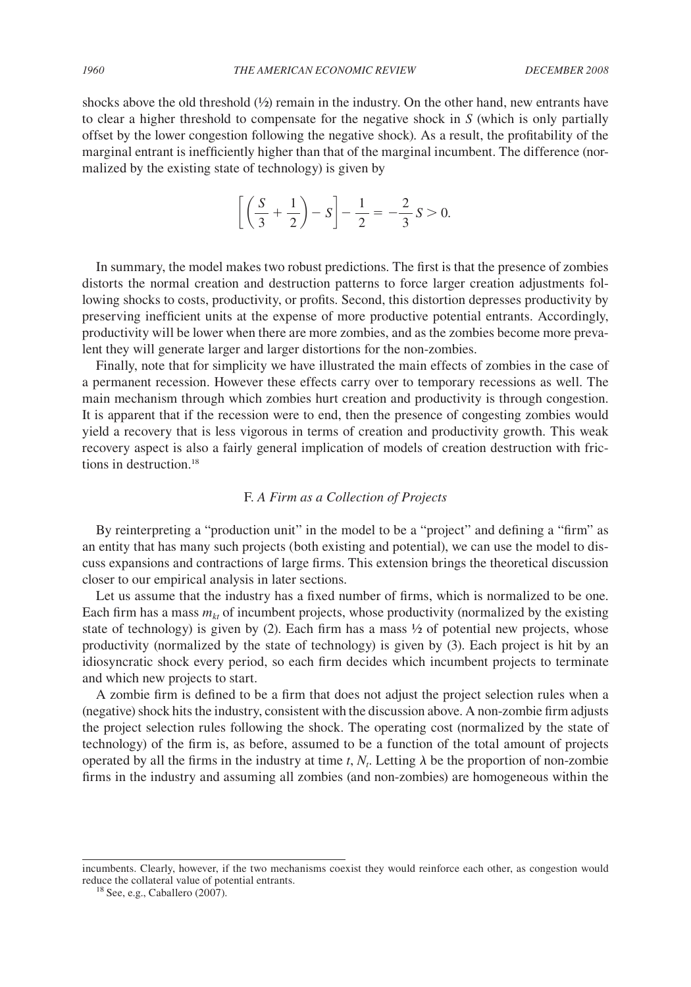shocks above the old threshold  $(1/2)$  remain in the industry. On the other hand, new entrants have to clear a higher threshold to compensate for the negative shock in *S* (which is only partially offset by the lower congestion following the negative shock). As a result, the profitability of the marginal entrant is inefficiently higher than that of the marginal incumbent. The difference (normalized by the existing state of technology) is given by

$$
\[\left(\frac{S}{3} + \frac{1}{2}\right) - S\right] - \frac{1}{2} = -\frac{2}{3}S > 0.
$$

In summary, the model makes two robust predictions. The first is that the presence of zombies distorts the normal creation and destruction patterns to force larger creation adjustments following shocks to costs, productivity, or profits. Second, this distortion depresses productivity by preserving inefficient units at the expense of more productive potential entrants. Accordingly, productivity will be lower when there are more zombies, and as the zombies become more prevalent they will generate larger and larger distortions for the non-zombies.

Finally, note that for simplicity we have illustrated the main effects of zombies in the case of a permanent recession. However these effects carry over to temporary recessions as well. The main mechanism through which zombies hurt creation and productivity is through congestion. It is apparent that if the recession were to end, then the presence of congesting zombies would yield a recovery that is less vigorous in terms of creation and productivity growth. This weak recovery aspect is also a fairly general implication of models of creation destruction with frictions in destruction.<sup>18</sup>

# F. *A Firm as a Collection of Projects*

By reinterpreting a "production unit" in the model to be a "project" and defining a "firm" as an entity that has many such projects (both existing and potential), we can use the model to discuss expansions and contractions of large firms. This extension brings the theoretical discussion closer to our empirical analysis in later sections.

Let us assume that the industry has a fixed number of firms, which is normalized to be one. Each firm has a mass  $m_{kt}$  of incumbent projects, whose productivity (normalized by the existing state of technology) is given by (2). Each firm has a mass  $\frac{1}{2}$  of potential new projects, whose productivity (normalized by the state of technology) is given by (3). Each project is hit by an idiosyncratic shock every period, so each firm decides which incumbent projects to terminate and which new projects to start.

A zombie firm is defined to be a firm that does not adjust the project selection rules when a (negative) shock hits the industry, consistent with the discussion above. A non-zombie firm adjusts the project selection rules following the shock. The operating cost (normalized by the state of technology) of the firm is, as before, assumed to be a function of the total amount of projects operated by all the firms in the industry at time  $t$ ,  $N_t$ . Letting  $\lambda$  be the proportion of non-zombie firms in the industry and assuming all zombies (and non-zombies) are homogeneous within the

incumbents. Clearly, however, if the two mechanisms coexist they would reinforce each other, as congestion would reduce the collateral value of potential entrants. 18 See, e.g., Caballero (2007).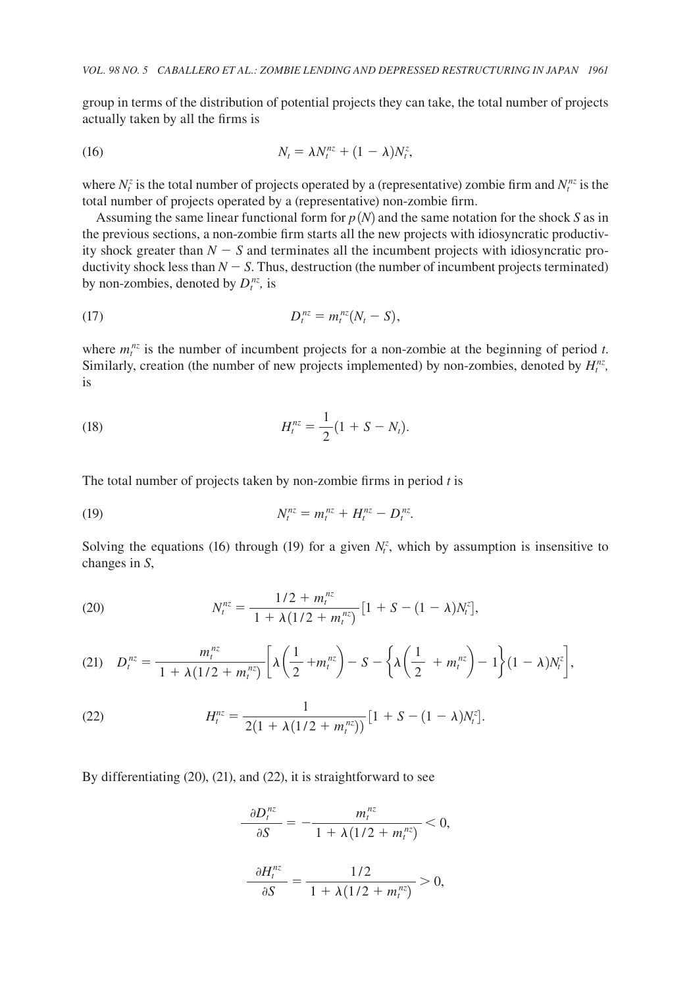group in terms of the distribution of potential projects they can take, the total number of projects actually taken by all the firms is

(16) 
$$
N_t = \lambda N_t^{nz} + (1 - \lambda)N_t^z,
$$

where  $N_t^z$  is the total number of projects operated by a (representative) zombie firm and  $N_t^{nz}$  is the total number of projects operated by a (representative) non-zombie firm.

Assuming the same linear functional form for  $p(N)$  and the same notation for the shock *S* as in the previous sections, a non-zombie firm starts all the new projects with idiosyncratic productivity shock greater than  $N - S$  and terminates all the incumbent projects with idiosyncratic productivity shock less than  $N - S$ . Thus, destruction (the number of incumbent projects terminated) by non-zombies, denoted by  $D_t^{nz}$ , is

$$
(17) \t\t\t D_t^{nz} = m_t^{nz}(N_t - S),
$$

where  $m_t^{nz}$  is the number of incumbent projects for a non-zombie at the beginning of period *t*. Similarly, creation (the number of new projects implemented) by non-zombies, denoted by  $H_t^{nz}$ , is

(18) 
$$
H_t^{nz} = \frac{1}{2}(1 + S - N_t).
$$

The total number of projects taken by non-zombie firms in period *t* is

(19) 
$$
N_t^{nz} = m_t^{nz} + H_t^{nz} - D_t^{nz}.
$$

Solving the equations (16) through (19) for a given  $N_t^z$ , which by assumption is insensitive to changes in *S*,

(20) 
$$
N_t^{nz} = \frac{1/2 + m_t^{nz}}{1 + \lambda (1/2 + m_t^{nz})} \left[1 + S - (1 - \lambda)N_t^{z}\right],
$$

$$
(21) \quad D_t^{nz} = \frac{m_t^{nz}}{1 + \lambda (1/2 + m_t^{nz})} \bigg[ \lambda \bigg( \frac{1}{2} + m_t^{nz} \bigg) - S - \bigg\{ \lambda \bigg( \frac{1}{2} + m_t^{nz} \bigg) - 1 \bigg\} (1 - \lambda) N_t^{z} \bigg],
$$

(22) 
$$
H_t^{nz} = \frac{1}{2(1 + \lambda(1/2 + m_t^{nz}))} [1 + S - (1 - \lambda)N_t^{z}].
$$

By differentiating (20), (21), and (22), it is straightforward to see

$$
\frac{\partial D_t^{nz}}{\partial S} = -\frac{m_t^{nz}}{1 + \lambda (1/2 + m_t^{nz})} < 0,
$$
  

$$
\frac{\partial H_t^{nz}}{\partial S} = \frac{1/2}{1 + \lambda (1/2 + m_t^{nz})} > 0,
$$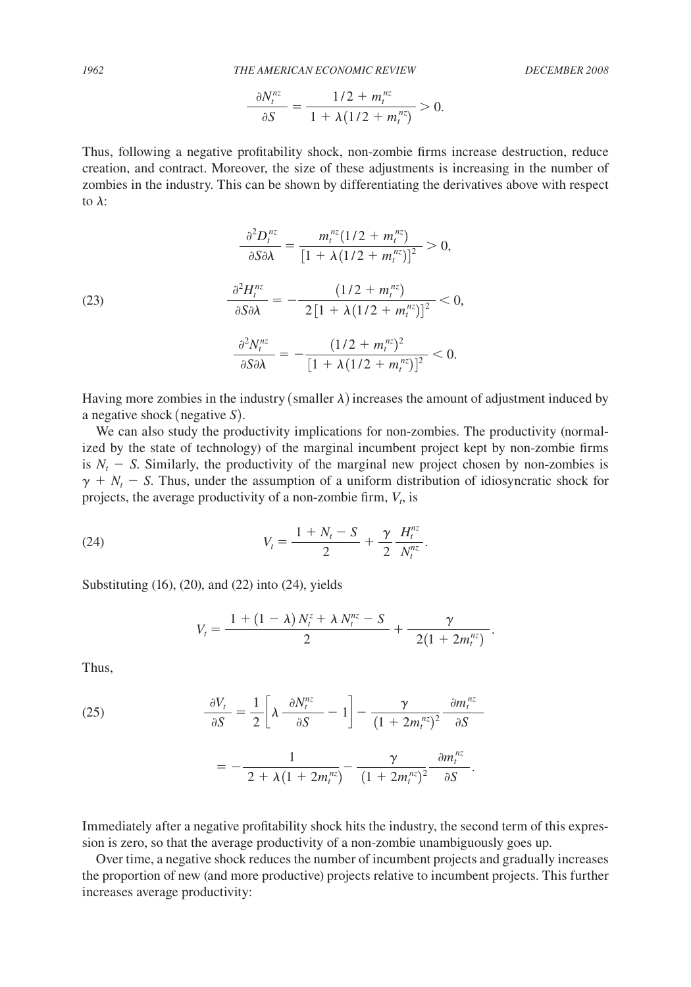*1962 THE AMERICAN ECONOMIC REVIEW DECEMBER 2008*

$$
\frac{\partial N_t^{nz}}{\partial S} = \frac{1/2 + m_t^{nz}}{1 + \lambda (1/2 + m_t^{nz})} > 0.
$$

Thus, following a negative profitability shock, non-zombie firms increase destruction, reduce creation, and contract. Moreover, the size of these adjustments is increasing in the number of zombies in the industry. This can be shown by differentiating the derivatives above with respect to  $\lambda$ :

(23)  
\n
$$
\frac{\partial^2 D_t^{nz}}{\partial S \partial \lambda} = \frac{m_t^{nz} (1/2 + m_t^{nz})}{[1 + \lambda (1/2 + m_t^{nz})]^2} > 0,
$$
\n
$$
\frac{\partial^2 H_t^{nz}}{\partial S \partial \lambda} = -\frac{(1/2 + m_t^{nz})}{2[1 + \lambda (1/2 + m_t^{nz})]^2} < 0,
$$
\n
$$
\frac{\partial^2 H_t^{nz}}{\partial S \partial \lambda} = \frac{(1/2 + m_t^{nz})}{2[1 + \lambda (1/2 + m_t^{nz})]^2} < 0,
$$

$$
\frac{\partial^2 N_t^{nz}}{\partial S \partial \lambda} = -\frac{(1/2 + m_t^{nz})^2}{[1 + \lambda (1/2 + m_t^{nz})]^2} < 0.
$$

Having more zombies in the industry (smaller  $\lambda$ ) increases the amount of adjustment induced by a negative shock (negative *S*).

We can also study the productivity implications for non-zombies. The productivity (normalized by the state of technology) of the marginal incumbent project kept by non-zombie firms is  $N_t$  – S. Similarly, the productivity of the marginal new project chosen by non-zombies is  $\gamma + N_t - S$ . Thus, under the assumption of a uniform distribution of idiosyncratic shock for projects, the average productivity of a non-zombie firm,  $V_t$ , is

(24) 
$$
V_t = \frac{1 + N_t - S}{2} + \frac{\gamma}{2} \frac{H_t^{nz}}{N_t^{nz}}.
$$

Substituting (16), (20), and (22) into (24), yields

$$
V_t = \frac{1 + (1 - \lambda) N_t^z + \lambda N_t^{nz} - S}{2} + \frac{\gamma}{2(1 + 2m_t^{nz})}.
$$

Thus,

(25) 
$$
\frac{\partial V_t}{\partial S} = \frac{1}{2} \left[ \lambda \frac{\partial N_t^{nz}}{\partial S} - 1 \right] - \frac{\gamma}{(1 + 2m_t^{nz})^2} \frac{\partial m_t^{nz}}{\partial S}
$$

$$
= -\frac{1}{2 + \lambda (1 + 2m_t^{nz})} - \frac{\gamma}{(1 + 2m_t^{nz})^2} \frac{\partial m_t^{nz}}{\partial S}.
$$

Immediately after a negative profitability shock hits the industry, the second term of this expression is zero, so that the average productivity of a non-zombie unambiguously goes up.

Over time, a negative shock reduces the number of incumbent projects and gradually increases the proportion of new (and more productive) projects relative to incumbent projects. This further increases average productivity: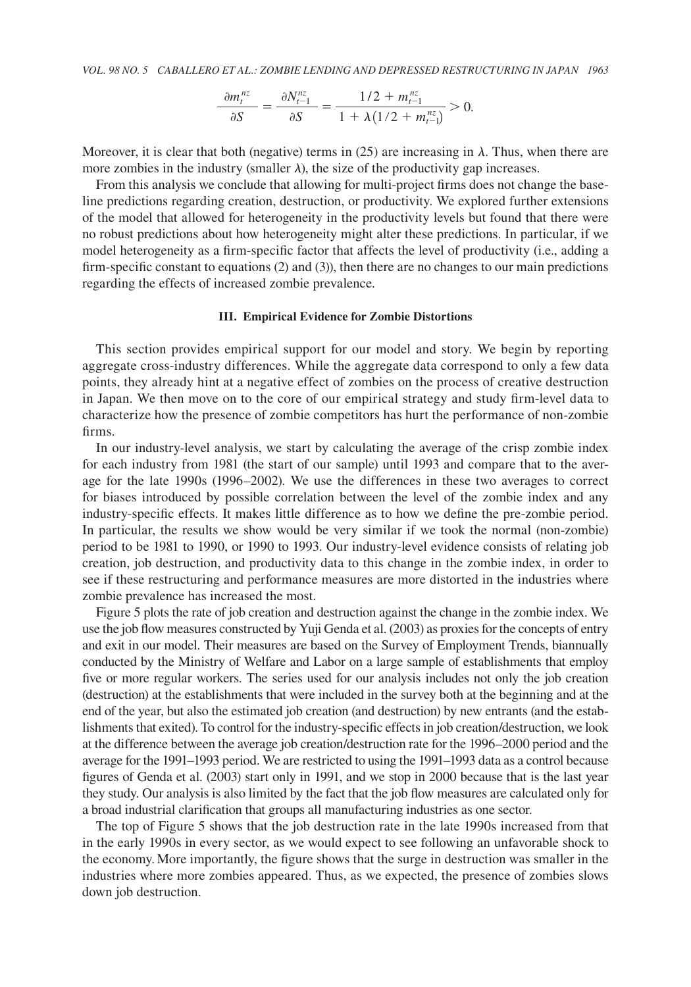$$
\frac{\partial m_t^{nz}}{\partial S} = \frac{\partial N_{t-1}^{nz}}{\partial S} = \frac{1/2 + m_{t-1}^{nz}}{1 + \lambda (1/2 + m_{t-1}^{nz})} > 0.
$$

Moreover, it is clear that both (negative) terms in (25) are increasing in  $\lambda$ . Thus, when there are more zombies in the industry (smaller  $\lambda$ ), the size of the productivity gap increases.

From this analysis we conclude that allowing for multi-project firms does not change the baseline predictions regarding creation, destruction, or productivity. We explored further extensions of the model that allowed for heterogeneity in the productivity levels but found that there were no robust predictions about how heterogeneity might alter these predictions. In particular, if we model heterogeneity as a firm-specific factor that affects the level of productivity (i.e., adding a firm-specific constant to equations (2) and (3)), then there are no changes to our main predictions regarding the effects of increased zombie prevalence.

#### **III. Empirical Evidence for Zombie Distortions**

This section provides empirical support for our model and story. We begin by reporting aggregate cross-industry differences. While the aggregate data correspond to only a few data points, they already hint at a negative effect of zombies on the process of creative destruction in Japan. We then move on to the core of our empirical strategy and study firm-level data to characterize how the presence of zombie competitors has hurt the performance of non-zombie firms.

In our industry-level analysis, we start by calculating the average of the crisp zombie index for each industry from 1981 (the start of our sample) until 1993 and compare that to the average for the late 1990s (1996–2002). We use the differences in these two averages to correct for biases introduced by possible correlation between the level of the zombie index and any industry-specific effects. It makes little difference as to how we define the pre-zombie period. In particular, the results we show would be very similar if we took the normal (non-zombie) period to be 1981 to 1990, or 1990 to 1993. Our industry-level evidence consists of relating job creation, job destruction, and productivity data to this change in the zombie index, in order to see if these restructuring and performance measures are more distorted in the industries where zombie prevalence has increased the most.

Figure 5 plots the rate of job creation and destruction against the change in the zombie index. We use the job flow measures constructed by Yuji Genda et al. (2003) as proxies for the concepts of entry and exit in our model. Their measures are based on the Survey of Employment Trends, biannually conducted by the Ministry of Welfare and Labor on a large sample of establishments that employ five or more regular workers. The series used for our analysis includes not only the job creation (destruction) at the establishments that were included in the survey both at the beginning and at the end of the year, but also the estimated job creation (and destruction) by new entrants (and the establishments that exited). To control for the industry-specific effects in job creation/destruction, we look at the difference between the average job creation/destruction rate for the 1996–2000 period and the average for the 1991–1993 period. We are restricted to using the 1991–1993 data as a control because figures of Genda et al. (2003) start only in 1991, and we stop in 2000 because that is the last year they study. Our analysis is also limited by the fact that the job flow measures are calculated only for a broad industrial clarification that groups all manufacturing industries as one sector.

The top of Figure 5 shows that the job destruction rate in the late 1990s increased from that in the early 1990s in every sector, as we would expect to see following an unfavorable shock to the economy. More importantly, the figure shows that the surge in destruction was smaller in the industries where more zombies appeared. Thus, as we expected, the presence of zombies slows down job destruction.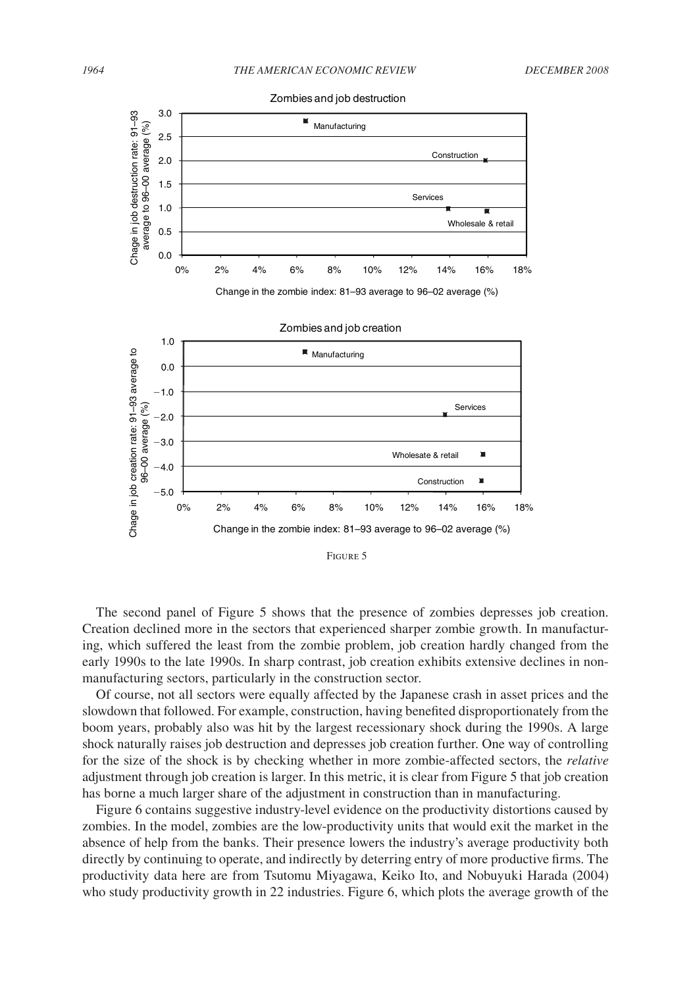

The second panel of Figure 5 shows that the presence of zombies depresses job creation. Creation declined more in the sectors that experienced sharper zombie growth. In manufacturing, which suffered the least from the zombie problem, job creation hardly changed from the early 1990s to the late 1990s. In sharp contrast, job creation exhibits extensive declines in nonmanufacturing sectors, particularly in the construction sector.

Figure 5

0% 2% 4% 6% 8% 10% 12% 14% 16% 18%

Change in the zombie index: 81–93 average to 96–02 average (%)

Wholesate & retail

Construction

× ×

Of course, not all sectors were equally affected by the Japanese crash in asset prices and the slowdown that followed. For example, construction, having benefited disproportionately from the boom years, probably also was hit by the largest recessionary shock during the 1990s. A large shock naturally raises job destruction and depresses job creation further. One way of controlling for the size of the shock is by checking whether in more zombie-affected sectors, the *relative*  adjustment through job creation is larger. In this metric, it is clear from Figure 5 that job creation has borne a much larger share of the adjustment in construction than in manufacturing.

Figure 6 contains suggestive industry-level evidence on the productivity distortions caused by zombies. In the model, zombies are the low-productivity units that would exit the market in the absence of help from the banks. Their presence lowers the industry's average productivity both directly by continuing to operate, and indirectly by deterring entry of more productive firms. The productivity data here are from Tsutomu Miyagawa, Keiko Ito, and Nobuyuki Harada (2004) who study productivity growth in 22 industries. Figure 6, which plots the average growth of the

 $-5.0$  $-4.0$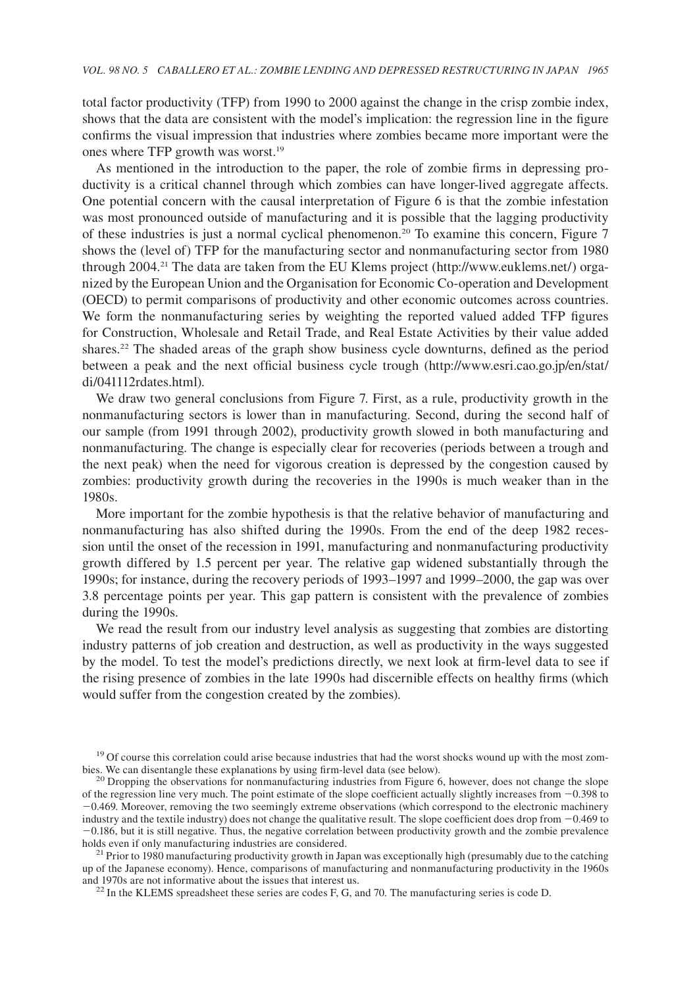total factor productivity (TFP) from 1990 to 2000 against the change in the crisp zombie index, shows that the data are consistent with the model's implication: the regression line in the figure confirms the visual impression that industries where zombies became more important were the ones where TFP growth was worst.<sup>19</sup>

As mentioned in the introduction to the paper, the role of zombie firms in depressing productivity is a critical channel through which zombies can have longer-lived aggregate affects. One potential concern with the causal interpretation of Figure 6 is that the zombie infestation was most pronounced outside of manufacturing and it is possible that the lagging productivity of these industries is just a normal cyclical phenomenon.20 To examine this concern, Figure 7 shows the (level of) TFP for the manufacturing sector and nonmanufacturing sector from 1980 through 2004.<sup>21</sup> The data are taken from the EU Klems project (http://www.euklems.net/) organized by the European Union and the Organisation for Economic Co-operation and Development (OECD) to permit comparisons of productivity and other economic outcomes across countries. We form the nonmanufacturing series by weighting the reported valued added TFP figures for Construction, Wholesale and Retail Trade, and Real Estate Activities by their value added shares.22 The shaded areas of the graph show business cycle downturns, defined as the period between a peak and the next official business cycle trough (http://www.esri.cao.go.jp/en/stat/ di/041112rdates.html).

We draw two general conclusions from Figure 7. First, as a rule, productivity growth in the nonmanufacturing sectors is lower than in manufacturing. Second, during the second half of our sample (from 1991 through 2002), productivity growth slowed in both manufacturing and nonmanufacturing. The change is especially clear for recoveries (periods between a trough and the next peak) when the need for vigorous creation is depressed by the congestion caused by zombies: productivity growth during the recoveries in the 1990s is much weaker than in the 1980s.

More important for the zombie hypothesis is that the relative behavior of manufacturing and nonmanufacturing has also shifted during the 1990s. From the end of the deep 1982 recession until the onset of the recession in 1991, manufacturing and nonmanufacturing productivity growth differed by 1.5 percent per year. The relative gap widened substantially through the 1990s; for instance, during the recovery periods of 1993–1997 and 1999–2000, the gap was over 3.8 percentage points per year. This gap pattern is consistent with the prevalence of zombies during the 1990s.

We read the result from our industry level analysis as suggesting that zombies are distorting industry patterns of job creation and destruction, as well as productivity in the ways suggested by the model. To test the model's predictions directly, we next look at firm-level data to see if the rising presence of zombies in the late 1990s had discernible effects on healthy firms (which would suffer from the congestion created by the zombies).

 $19$  Of course this correlation could arise because industries that had the worst shocks wound up with the most zombies. We can disentangle these explanations by using firm-level data (see below). <sup>20</sup> Dropping the observations for nonmanufacturing industries from Figure 6, however, does not change the slope

of the regression line very much. The point estimate of the slope coefficient actually slightly increases from  $-0.398$  to  $-0.469$ . Moreover, removing the two seemingly extreme observations (which correspond to the electronic machinery industry and the textile industry) does not change the qualitative result. The slope coefficient does drop from  $-0.469$  to  $-0.186$ , but it is still negative. Thus, the negative correlation between productivity growth and the zombie prevalence holds even if only manufacturing industries are considered.<br><sup>21</sup> Prior to 1980 manufacturing productivity growth in Japan was exceptionally high (presumably due to the catching

up of the Japanese economy). Hence, comparisons of manufacturing and nonmanufacturing productivity in the 1960s and 1970s are not informative about the issues that interest us.<br><sup>22</sup> In the KLEMS spreadsheet these series are codes F, G, and 70. The manufacturing series is code D.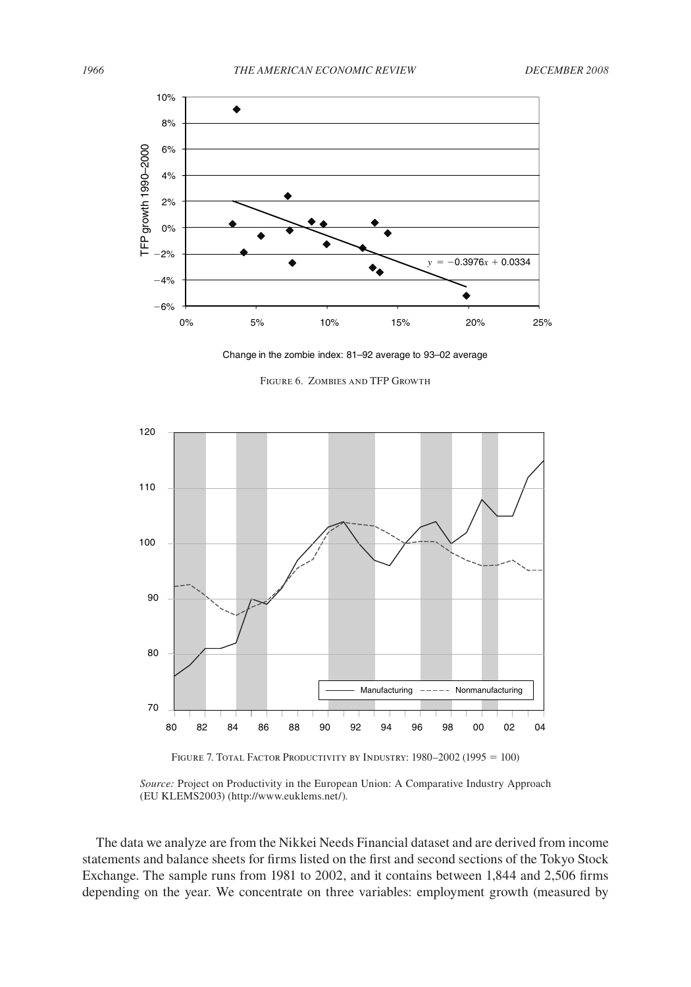

Change in the zombie index: 81–92 average to 93–02 average

Figure 6. Zombies and TFP Growth



FIGURE 7. TOTAL FACTOR PRODUCTIVITY BY INDUSTRY:  $1980-2002$  ( $1995 = 100$ )

*Source:* Project on Productivity in the European Union: A Comparative Industry Approach (EU KLEMS2003) (http://www.euklems.net/).

The data we analyze are from the Nikkei Needs Financial dataset and are derived from income statements and balance sheets for firms listed on the first and second sections of the Tokyo Stock Exchange. The sample runs from 1981 to 2002, and it contains between 1,844 and 2,506 firms depending on the year. We concentrate on three variables: employment growth (measured by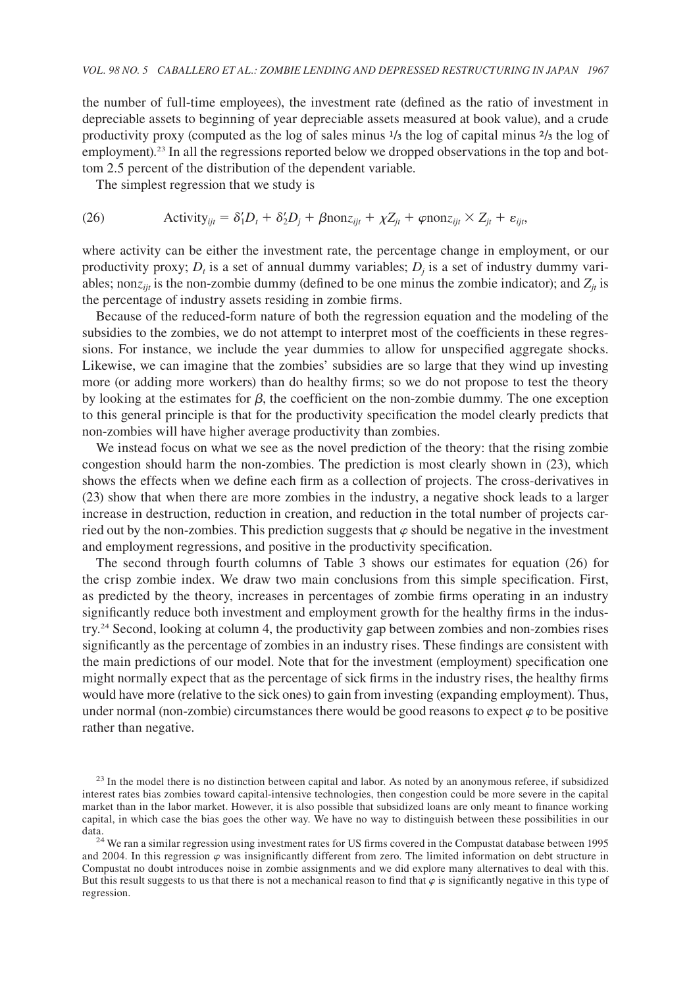the number of full-time employees), the investment rate (defined as the ratio of investment in depreciable assets to beginning of year depreciable assets measured at book value), and a crude productivity proxy (computed as the log of sales minus 1/3 the log of capital minus 2/3 the log of employment).<sup>23</sup> In all the regressions reported below we dropped observations in the top and bottom 2.5 percent of the distribution of the dependent variable.

The simplest regression that we study is

(26) 
$$
\text{Activity}_{ijt} = \delta_1' D_t + \delta_2' D_j + \beta \text{non} z_{ijt} + \chi Z_{jt} + \varphi \text{non} z_{ijt} \times Z_{jt} + \varepsilon_{ijt},
$$

where activity can be either the investment rate, the percentage change in employment, or our productivity proxy;  $D_t$  is a set of annual dummy variables;  $D_j$  is a set of industry dummy variables; non $z_{ijt}$  is the non-zombie dummy (defined to be one minus the zombie indicator); and  $Z_{jt}$  is the percentage of industry assets residing in zombie firms.

Because of the reduced-form nature of both the regression equation and the modeling of the subsidies to the zombies, we do not attempt to interpret most of the coefficients in these regressions. For instance, we include the year dummies to allow for unspecified aggregate shocks. Likewise, we can imagine that the zombies' subsidies are so large that they wind up investing more (or adding more workers) than do healthy firms; so we do not propose to test the theory by looking at the estimates for  $\beta$ , the coefficient on the non-zombie dummy. The one exception to this general principle is that for the productivity specification the model clearly predicts that non-zombies will have higher average productivity than zombies.

We instead focus on what we see as the novel prediction of the theory: that the rising zombie congestion should harm the non-zombies. The prediction is most clearly shown in (23), which shows the effects when we define each firm as a collection of projects. The cross-derivatives in (23) show that when there are more zombies in the industry, a negative shock leads to a larger increase in destruction, reduction in creation, and reduction in the total number of projects carried out by the non-zombies. This prediction suggests that  $\varphi$  should be negative in the investment and employment regressions, and positive in the productivity specification.

The second through fourth columns of Table 3 shows our estimates for equation (26) for the crisp zombie index. We draw two main conclusions from this simple specification. First, as predicted by the theory, increases in percentages of zombie firms operating in an industry significantly reduce both investment and employment growth for the healthy firms in the industry.24 Second, looking at column 4, the productivity gap between zombies and non-zombies rises significantly as the percentage of zombies in an industry rises. These findings are consistent with the main predictions of our model. Note that for the investment (employment) specification one might normally expect that as the percentage of sick firms in the industry rises, the healthy firms would have more (relative to the sick ones) to gain from investing (expanding employment). Thus, under normal (non-zombie) circumstances there would be good reasons to expect  $\varphi$  to be positive rather than negative.

data. 24 We ran a similar regression using investment rates for US firms covered in the Compustat database between 1995 and 2004. In this regression  $\varphi$  was insignificantly different from zero. The limited information on debt structure in Compustat no doubt introduces noise in zombie assignments and we did explore many alternatives to deal with this. But this result suggests to us that there is not a mechanical reason to find that  $\varphi$  is significantly negative in this type of regression.

<sup>&</sup>lt;sup>23</sup> In the model there is no distinction between capital and labor. As noted by an anonymous referee, if subsidized interest rates bias zombies toward capital-intensive technologies, then congestion could be more severe in the capital market than in the labor market. However, it is also possible that subsidized loans are only meant to finance working capital, in which case the bias goes the other way. We have no way to distinguish between these possibilities in our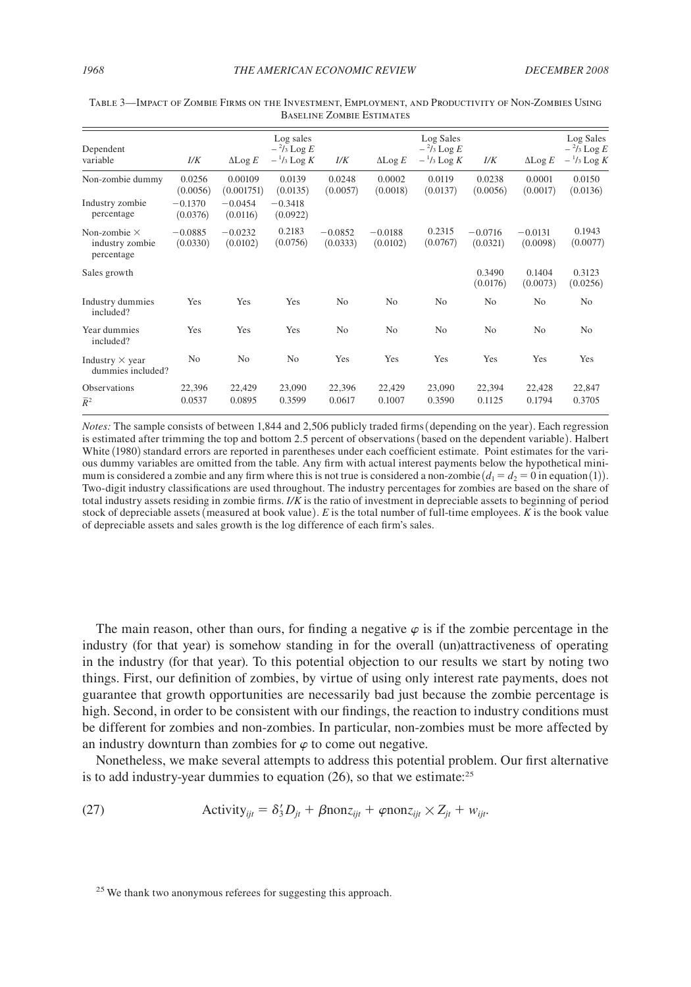| Dependent                                            |                       |                       | Log sales<br>$-\frac{2}{3}$ Log E     |                       |                       | Log Sales<br>$-\frac{2}{3}$ Log E     |                       |                       | Log Sales<br>$-\frac{2}{3}$ Log E     |
|------------------------------------------------------|-----------------------|-----------------------|---------------------------------------|-----------------------|-----------------------|---------------------------------------|-----------------------|-----------------------|---------------------------------------|
| variable                                             | 1/K                   | $\Delta$ Log E        | $-$ <sup>1</sup> / <sub>3</sub> Log K | I/K                   | $\Delta$ Log E        | $-$ <sup>1</sup> / <sub>3</sub> Log K | I/K                   | $\Delta$ Log E        | $-$ <sup>1</sup> / <sub>3</sub> Log K |
| Non-zombie dummy                                     | 0.0256<br>(0.0056)    | 0.00109<br>(0.001751) | 0.0139<br>(0.0135)                    | 0.0248<br>(0.0057)    | 0.0002<br>(0.0018)    | 0.0119<br>(0.0137)                    | 0.0238<br>(0.0056)    | 0.0001<br>(0.0017)    | 0.0150<br>(0.0136)                    |
| Industry zombie<br>percentage                        | $-0.1370$<br>(0.0376) | $-0.0454$<br>(0.0116) | $-0.3418$<br>(0.0922)                 |                       |                       |                                       |                       |                       |                                       |
| Non-zombie $\times$<br>industry zombie<br>percentage | $-0.0885$<br>(0.0330) | $-0.0232$<br>(0.0102) | 0.2183<br>(0.0756)                    | $-0.0852$<br>(0.0333) | $-0.0188$<br>(0.0102) | 0.2315<br>(0.0767)                    | $-0.0716$<br>(0.0321) | $-0.0131$<br>(0.0098) | 0.1943<br>(0.0077)                    |
| Sales growth                                         |                       |                       |                                       |                       |                       |                                       | 0.3490<br>(0.0176)    | 0.1404<br>(0.0073)    | 0.3123<br>(0.0256)                    |
| Industry dummies<br>included?                        | Yes                   | Yes                   | Yes                                   | N <sub>0</sub>        | N <sub>0</sub>        | N <sub>0</sub>                        | N <sub>0</sub>        | N <sub>o</sub>        | N <sub>0</sub>                        |
| Year dummies<br>included?                            | Yes                   | Yes                   | Yes                                   | N <sub>0</sub>        | N <sub>0</sub>        | N <sub>0</sub>                        | N <sub>0</sub>        | N <sub>0</sub>        | N <sub>0</sub>                        |
| Industry $\times$ year<br>dummies included?          | N <sub>0</sub>        | N <sub>o</sub>        | N <sub>o</sub>                        | Yes                   | Yes                   | Yes                                   | Yes                   | Yes                   | Yes                                   |
| Observations<br>$\overline{R}^2$                     | 22,396<br>0.0537      | 22,429<br>0.0895      | 23,090<br>0.3599                      | 22,396<br>0.0617      | 22,429<br>0.1007      | 23,090<br>0.3590                      | 22,394<br>0.1125      | 22,428<br>0.1794      | 22,847<br>0.3705                      |

#### Table 3—Impact of Zombie Firms on the Investment, Employment, and Productivity of Non-Zombies Using Baseline Zombie Estimates

*Notes:* The sample consists of between 1,844 and 2,506 publicly traded firms (depending on the year). Each regression is estimated after trimming the top and bottom 2.5 percent of observations (based on the dependent variable). Halbert White (1980) standard errors are reported in parentheses under each coefficient estimate. Point estimates for the various dummy variables are omitted from the table. Any firm with actual interest payments below the hypothetical minimum is considered a zombie and any firm where this is not true is considered a non-zombie  $(d_1 = d_2 = 0$  in equation (1)). Two-digit industry classifications are used throughout. The industry percentages for zombies are based on the share of total industry assets residing in zombie firms. *I/K* is the ratio of investment in depreciable assets to beginning of period stock of depreciable assets (measured at book value).  $E$  is the total number of full-time employees.  $K$  is the book value of depreciable assets and sales growth is the log difference of each firm's sales.

The main reason, other than ours, for finding a negative  $\varphi$  is if the zombie percentage in the industry (for that year) is somehow standing in for the overall (un)attractiveness of operating in the industry (for that year). To this potential objection to our results we start by noting two things. First, our definition of zombies, by virtue of using only interest rate payments, does not guarantee that growth opportunities are necessarily bad just because the zombie percentage is high. Second, in order to be consistent with our findings, the reaction to industry conditions must be different for zombies and non-zombies. In particular, non-zombies must be more affected by an industry downturn than zombies for  $\varphi$  to come out negative.

Nonetheless, we make several attempts to address this potential problem. Our first alternative is to add industry-year dummies to equation  $(26)$ , so that we estimate:<sup>25</sup>

(27) 
$$
\text{Activity}_{ijt} = \delta_3' D_{jt} + \beta \text{non} z_{ijt} + \varphi \text{non} z_{ijt} \times Z_{jt} + w_{ijt}.
$$

<sup>25</sup> We thank two anonymous referees for suggesting this approach.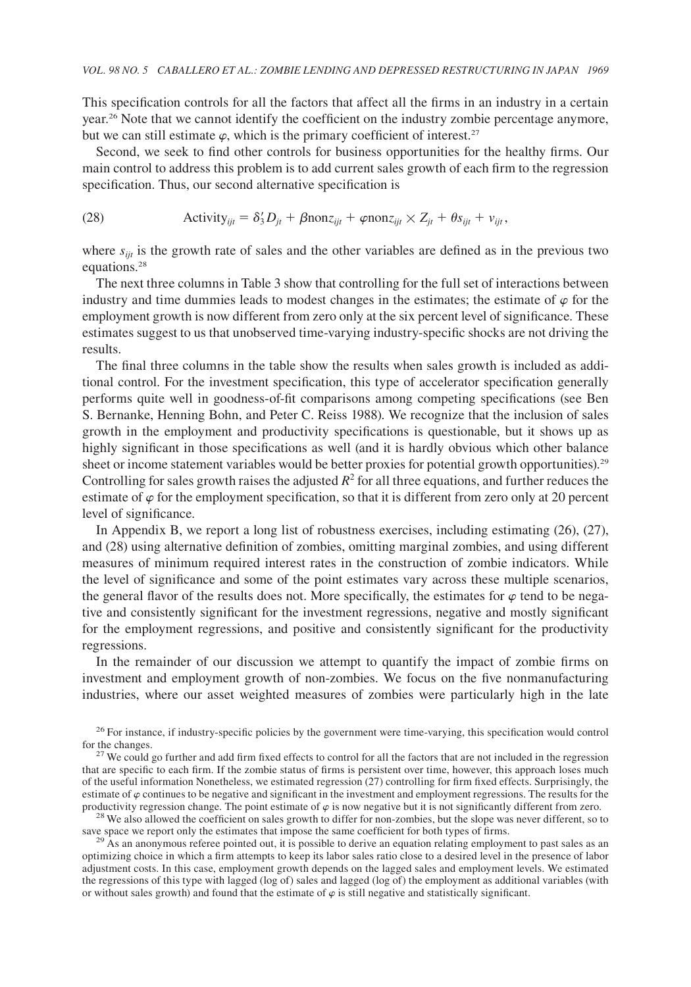This specification controls for all the factors that affect all the firms in an industry in a certain year.26 Note that we cannot identify the coefficient on the industry zombie percentage anymore, but we can still estimate  $\varphi$ , which is the primary coefficient of interest.<sup>27</sup>

Second, we seek to find other controls for business opportunities for the healthy firms. Our main control to address this problem is to add current sales growth of each firm to the regression specification. Thus, our second alternative specification is

(28) 
$$
\text{Activity}_{ijt} = \delta_3' D_{jt} + \beta \text{non} z_{ijt} + \varphi \text{non} z_{ijt} \times Z_{jt} + \theta s_{ijt} + v_{ijt},
$$

where  $s_{ijt}$  is the growth rate of sales and the other variables are defined as in the previous two equations.28

The next three columns in Table 3 show that controlling for the full set of interactions between industry and time dummies leads to modest changes in the estimates; the estimate of  $\varphi$  for the employment growth is now different from zero only at the six percent level of significance. These estimates suggest to us that unobserved time-varying industry-specific shocks are not driving the results.

The final three columns in the table show the results when sales growth is included as additional control. For the investment specification, this type of accelerator specification generally performs quite well in goodness-of-fit comparisons among competing specifications (see Ben S. Bernanke, Henning Bohn, and Peter C. Reiss 1988). We recognize that the inclusion of sales growth in the employment and productivity specifications is questionable, but it shows up as highly significant in those specifications as well (and it is hardly obvious which other balance sheet or income statement variables would be better proxies for potential growth opportunities).<sup>29</sup> Controlling for sales growth raises the adjusted  $R^2$  for all three equations, and further reduces the estimate of  $\varphi$  for the employment specification, so that it is different from zero only at 20 percent level of significance.

In Appendix B, we report a long list of robustness exercises, including estimating (26), (27), and (28) using alternative definition of zombies, omitting marginal zombies, and using different measures of minimum required interest rates in the construction of zombie indicators. While the level of significance and some of the point estimates vary across these multiple scenarios, the general flavor of the results does not. More specifically, the estimates for  $\varphi$  tend to be negative and consistently significant for the investment regressions, negative and mostly significant for the employment regressions, and positive and consistently significant for the productivity regressions.

In the remainder of our discussion we attempt to quantify the impact of zombie firms on investment and employment growth of non-zombies. We focus on the five nonmanufacturing industries, where our asset weighted measures of zombies were particularly high in the late

<sup>26</sup> For instance, if industry-specific policies by the government were time-varying, this specification would control for the changes.<br><sup>27</sup> We could go further and add firm fixed effects to control for all the factors that are not included in the regression

save space we report only the estimates that impose the same coefficient for both types of firms.<br><sup>29</sup> As an anonymous referee pointed out, it is possible to derive an equation relating employment to past sales as an

optimizing choice in which a firm attempts to keep its labor sales ratio close to a desired level in the presence of labor adjustment costs. In this case, employment growth depends on the lagged sales and employment levels. We estimated the regressions of this type with lagged (log of) sales and lagged (log of) the employment as additional variables (with or without sales growth) and found that the estimate of  $\varphi$  is still negative and statistically significant.

that are specific to each firm. If the zombie status of firms is persistent over time, however, this approach loses much of the useful information Nonetheless, we estimated regression (27) controlling for firm fixed effects. Surprisingly, the estimate of  $\varphi$  continues to be negative and significant in the investment and employment regressions. The results for the productivity regression change. The point estimate of  $\varphi$  is now negative but it is not significantly different from zero.<br><sup>28</sup> We also allowed the coefficient on sales growth to differ for non-zombies, but the slope wa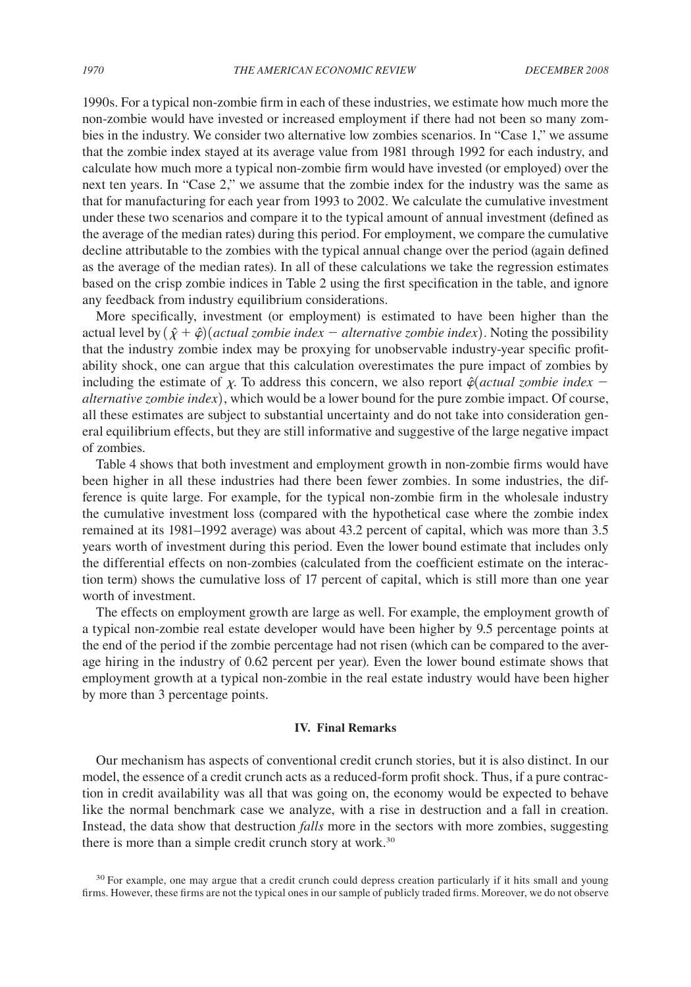1990s. For a typical non-zombie firm in each of these industries, we estimate how much more the non-zombie would have invested or increased employment if there had not been so many zombies in the industry. We consider two alternative low zombies scenarios. In "Case 1," we assume that the zombie index stayed at its average value from 1981 through 1992 for each industry, and calculate how much more a typical non-zombie firm would have invested (or employed) over the next ten years. In "Case 2," we assume that the zombie index for the industry was the same as that for manufacturing for each year from 1993 to 2002. We calculate the cumulative investment under these two scenarios and compare it to the typical amount of annual investment (defined as the average of the median rates) during this period. For employment, we compare the cumulative decline attributable to the zombies with the typical annual change over the period (again defined as the average of the median rates). In all of these calculations we take the regression estimates based on the crisp zombie indices in Table 2 using the first specification in the table, and ignore any feedback from industry equilibrium considerations.

More specifically, investment (or employment) is estimated to have been higher than the actual level by  $(\hat{\chi} + \hat{\varphi})$  *actual zombie index – alternative zombie index*). Noting the possibility that the industry zombie index may be proxying for unobservable industry-year specific profitability shock, one can argue that this calculation overestimates the pure impact of zombies by including the estimate of  $\chi$ . To address this concern, we also report  $\hat{\varphi}$ (*actual zombie index – alternative zombie index*2, which would be a lower bound for the pure zombie impact. Of course, all these estimates are subject to substantial uncertainty and do not take into consideration general equilibrium effects, but they are still informative and suggestive of the large negative impact of zombies.

Table 4 shows that both investment and employment growth in non-zombie firms would have been higher in all these industries had there been fewer zombies. In some industries, the difference is quite large. For example, for the typical non-zombie firm in the wholesale industry the cumulative investment loss (compared with the hypothetical case where the zombie index remained at its 1981–1992 average) was about 43.2 percent of capital, which was more than 3.5 years worth of investment during this period. Even the lower bound estimate that includes only the differential effects on non-zombies (calculated from the coefficient estimate on the interaction term) shows the cumulative loss of 17 percent of capital, which is still more than one year worth of investment.

The effects on employment growth are large as well. For example, the employment growth of a typical non-zombie real estate developer would have been higher by 9.5 percentage points at the end of the period if the zombie percentage had not risen (which can be compared to the average hiring in the industry of 0.62 percent per year). Even the lower bound estimate shows that employment growth at a typical non-zombie in the real estate industry would have been higher by more than 3 percentage points.

#### **IV. Final Remarks**

Our mechanism has aspects of conventional credit crunch stories, but it is also distinct. In our model, the essence of a credit crunch acts as a reduced-form profit shock. Thus, if a pure contraction in credit availability was all that was going on, the economy would be expected to behave like the normal benchmark case we analyze, with a rise in destruction and a fall in creation. Instead, the data show that destruction *falls* more in the sectors with more zombies, suggesting there is more than a simple credit crunch story at work.<sup>30</sup>

<sup>30</sup> For example, one may argue that a credit crunch could depress creation particularly if it hits small and young firms. However, these firms are not the typical ones in our sample of publicly traded firms. Moreover, we do not observe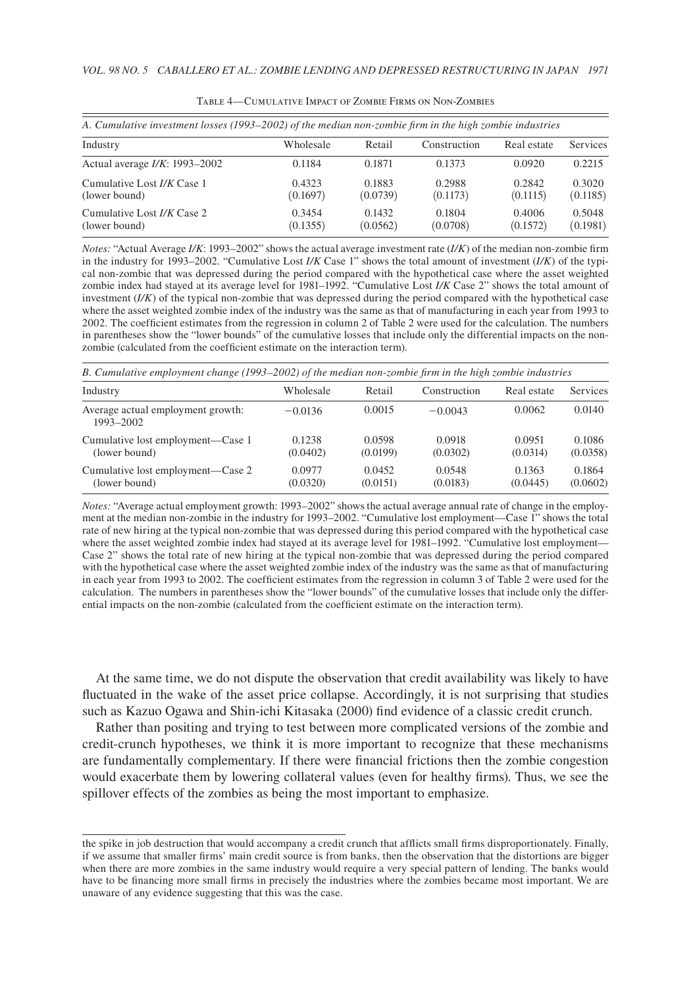| A. Cumulative investment losses (1993–2002) of the median non-zombie firm in the high zombie industries |                    |                    |                    |                    |                    |  |  |
|---------------------------------------------------------------------------------------------------------|--------------------|--------------------|--------------------|--------------------|--------------------|--|--|
| Industry                                                                                                | Wholesale          | Retail             | Construction       | Real estate        | <b>Services</b>    |  |  |
| Actual average $I/K$ : 1993-2002                                                                        | 0.1184             | 0.1871             | 0.1373             | 0.0920             | 0.2215             |  |  |
| Cumulative Lost $I/K$ Case 1<br>(lower bound)                                                           | 0.4323<br>(0.1697) | 0.1883<br>(0.0739) | 0.2988<br>(0.1173) | 0.2842<br>(0.1115) | 0.3020<br>(0.1185) |  |  |
| Cumulative Lost I/K Case 2<br>(lower bound)                                                             | 0.3454<br>(0.1355) | 0.1432<br>(0.0562) | 0.1804<br>(0.0708) | 0.4006<br>(0.1572) | 0.5048<br>(0.1981) |  |  |

Table 4—Cumulative Impact of Zombie Firms on Non-Zombies

*Notes:* "Actual Average *I/K*: 1993–2002" shows the actual average investment rate (*I/K*) of the median non-zombie firm in the industry for 1993–2002. "Cumulative Lost *I/K* Case 1" shows the total amount of investment (*I/K*) of the typical non-zombie that was depressed during the period compared with the hypothetical case where the asset weighted zombie index had stayed at its average level for 1981–1992. "Cumulative Lost *I/K* Case 2" shows the total amount of investment (*I/K*) of the typical non-zombie that was depressed during the period compared with the hypothetical case where the asset weighted zombie index of the industry was the same as that of manufacturing in each year from 1993 to 2002. The coefficient estimates from the regression in column 2 of Table 2 were used for the calculation. The numbers in parentheses show the "lower bounds" of the cumulative losses that include only the differential impacts on the nonzombie (calculated from the coefficient estimate on the interaction term).

*B. Cumulative employment change (1993–2002) of the median non-zombie firm in the high zombie industries*

| Wholesale          | Retail             | Construction       | Real estate        | Services           |
|--------------------|--------------------|--------------------|--------------------|--------------------|
| $-0.0136$          | 0.0015             | $-0.0043$          | 0.0062             | 0.0140             |
| 0.1238<br>(0.0402) | 0.0598<br>(0.0199) | 0.0918<br>(0.0302) | 0.0951<br>(0.0314) | 0.1086<br>(0.0358) |
| 0.0977<br>(0.0320) | 0.0452<br>(0.0151) | 0.0548<br>(0.0183) | 0.1363<br>(0.0445) | 0.1864<br>(0.0602) |
|                    |                    |                    |                    |                    |

*Notes:* "Average actual employment growth: 1993–2002" shows the actual average annual rate of change in the employment at the median non-zombie in the industry for 1993–2002. "Cumulative lost employment—Case 1" shows the total rate of new hiring at the typical non-zombie that was depressed during this period compared with the hypothetical case where the asset weighted zombie index had stayed at its average level for 1981–1992. "Cumulative lost employment— Case 2" shows the total rate of new hiring at the typical non-zombie that was depressed during the period compared with the hypothetical case where the asset weighted zombie index of the industry was the same as that of manufacturing in each year from 1993 to 2002. The coefficient estimates from the regression in column 3 of Table 2 were used for the calculation. The numbers in parentheses show the "lower bounds" of the cumulative losses that include only the differential impacts on the non-zombie (calculated from the coefficient estimate on the interaction term).

At the same time, we do not dispute the observation that credit availability was likely to have fluctuated in the wake of the asset price collapse. Accordingly, it is not surprising that studies such as Kazuo Ogawa and Shin-ichi Kitasaka (2000) find evidence of a classic credit crunch.

Rather than positing and trying to test between more complicated versions of the zombie and credit-crunch hypotheses, we think it is more important to recognize that these mechanisms are fundamentally complementary. If there were financial frictions then the zombie congestion would exacerbate them by lowering collateral values (even for healthy firms). Thus, we see the spillover effects of the zombies as being the most important to emphasize.

the spike in job destruction that would accompany a credit crunch that afflicts small firms disproportionately. Finally, if we assume that smaller firms' main credit source is from banks, then the observation that the distortions are bigger when there are more zombies in the same industry would require a very special pattern of lending. The banks would have to be financing more small firms in precisely the industries where the zombies became most important. We are unaware of any evidence suggesting that this was the case.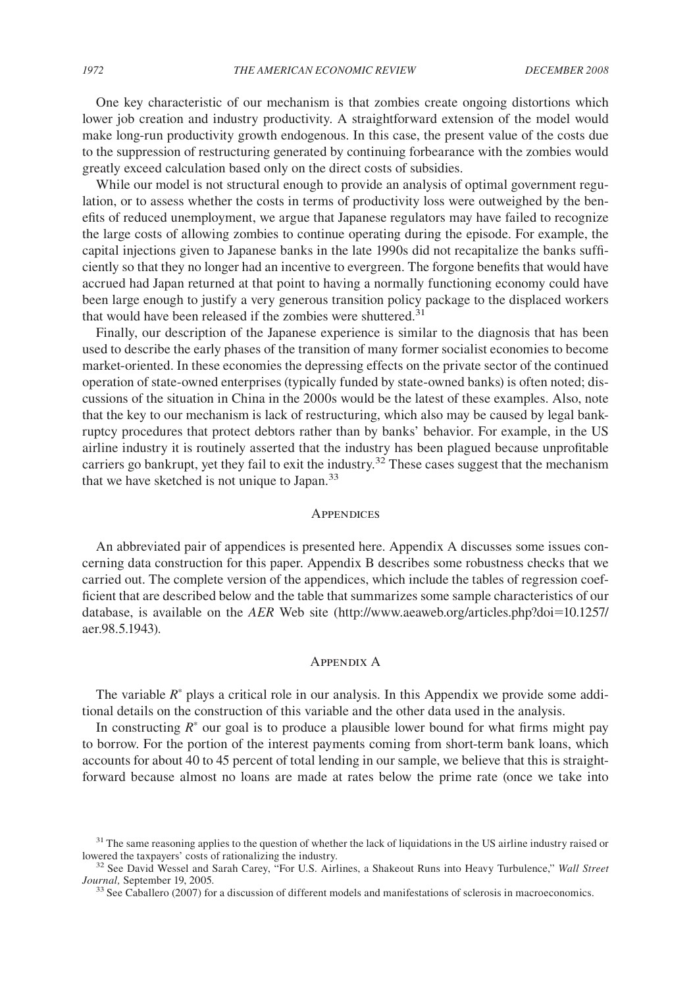One key characteristic of our mechanism is that zombies create ongoing distortions which lower job creation and industry productivity. A straightforward extension of the model would make long-run productivity growth endogenous. In this case, the present value of the costs due to the suppression of restructuring generated by continuing forbearance with the zombies would greatly exceed calculation based only on the direct costs of subsidies.

While our model is not structural enough to provide an analysis of optimal government regulation, or to assess whether the costs in terms of productivity loss were outweighed by the benefits of reduced unemployment, we argue that Japanese regulators may have failed to recognize the large costs of allowing zombies to continue operating during the episode. For example, the capital injections given to Japanese banks in the late 1990s did not recapitalize the banks sufficiently so that they no longer had an incentive to evergreen. The forgone benefits that would have accrued had Japan returned at that point to having a normally functioning economy could have been large enough to justify a very generous transition policy package to the displaced workers that would have been released if the zombies were shuttered.<sup>31</sup>

Finally, our description of the Japanese experience is similar to the diagnosis that has been used to describe the early phases of the transition of many former socialist economies to become market-oriented. In these economies the depressing effects on the private sector of the continued operation of state-owned enterprises (typically funded by state-owned banks) is often noted; discussions of the situation in China in the 2000s would be the latest of these examples. Also, note that the key to our mechanism is lack of restructuring, which also may be caused by legal bankruptcy procedures that protect debtors rather than by banks' behavior. For example, in the US airline industry it is routinely asserted that the industry has been plagued because unprofitable carriers go bankrupt, yet they fail to exit the industry.<sup>32</sup> These cases suggest that the mechanism that we have sketched is not unique to Japan.<sup>33</sup>

#### **APPENDICES**

An abbreviated pair of appendices is presented here. Appendix A discusses some issues concerning data construction for this paper. Appendix B describes some robustness checks that we carried out. The complete version of the appendices, which include the tables of regression coefficient that are described below and the table that summarizes some sample characteristics of our database, is available on the *AER* Web site (http://www.aeaweb.org/articles.php?doi=10.1257/ aer.98.5.1943).

# Appendix A

The variable  $R^*$  plays a critical role in our analysis. In this Appendix we provide some additional details on the construction of this variable and the other data used in the analysis.

In constructing  $R^*$  our goal is to produce a plausible lower bound for what firms might pay to borrow. For the portion of the interest payments coming from short-term bank loans, which accounts for about 40 to 45 percent of total lending in our sample, we believe that this is straightforward because almost no loans are made at rates below the prime rate (once we take into

<sup>&</sup>lt;sup>31</sup> The same reasoning applies to the question of whether the lack of liquidations in the US airline industry raised or lowered the taxpayers' costs of rationalizing the industry. 32 See David Wessel and Sarah Carey, "For U.S. Airlines, a Shakeout Runs into Heavy Turbulence," *Wall Street* 

*Journal, September 19, 2005.* 33 See Caballero (2007) for a discussion of different models and manifestations of sclerosis in macroeconomics.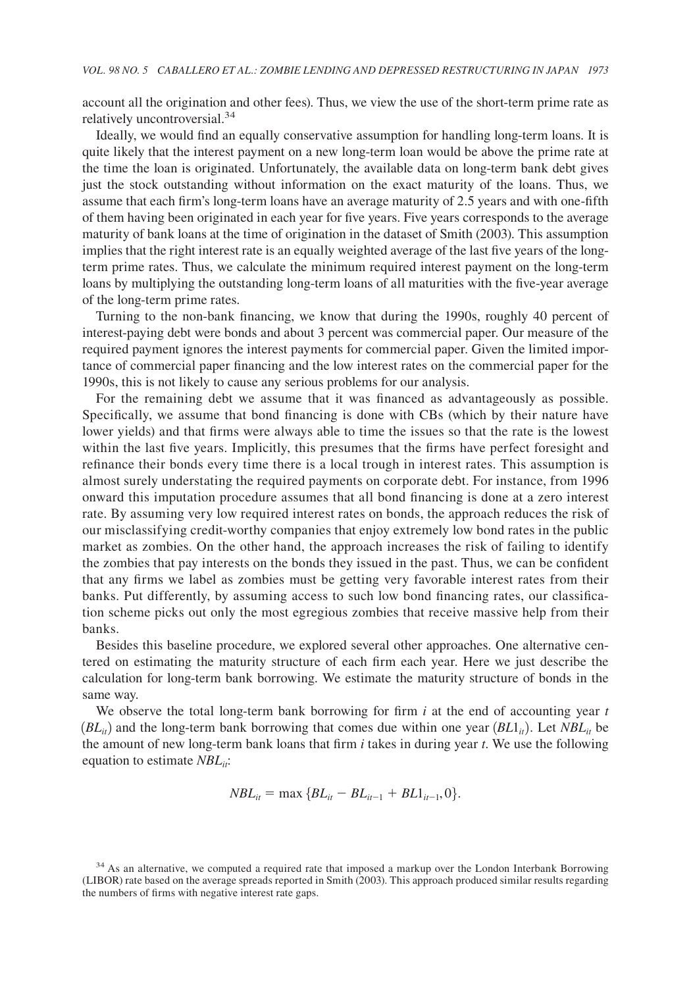account all the origination and other fees). Thus, we view the use of the short-term prime rate as relatively uncontroversial.<sup>34</sup>

Ideally, we would find an equally conservative assumption for handling long-term loans. It is quite likely that the interest payment on a new long-term loan would be above the prime rate at the time the loan is originated. Unfortunately, the available data on long-term bank debt gives just the stock outstanding without information on the exact maturity of the loans. Thus, we assume that each firm's long-term loans have an average maturity of 2.5 years and with one-fifth of them having been originated in each year for five years. Five years corresponds to the average maturity of bank loans at the time of origination in the dataset of Smith (2003). This assumption implies that the right interest rate is an equally weighted average of the last five years of the longterm prime rates. Thus, we calculate the minimum required interest payment on the long-term loans by multiplying the outstanding long-term loans of all maturities with the five-year average of the long-term prime rates.

Turning to the non-bank financing, we know that during the 1990s, roughly 40 percent of interest-paying debt were bonds and about 3 percent was commercial paper. Our measure of the required payment ignores the interest payments for commercial paper. Given the limited importance of commercial paper financing and the low interest rates on the commercial paper for the 1990s, this is not likely to cause any serious problems for our analysis.

For the remaining debt we assume that it was financed as advantageously as possible. Specifically, we assume that bond financing is done with CBs (which by their nature have lower yields) and that firms were always able to time the issues so that the rate is the lowest within the last five years. Implicitly, this presumes that the firms have perfect foresight and refinance their bonds every time there is a local trough in interest rates. This assumption is almost surely understating the required payments on corporate debt. For instance, from 1996 onward this imputation procedure assumes that all bond financing is done at a zero interest rate. By assuming very low required interest rates on bonds, the approach reduces the risk of our misclassifying credit-worthy companies that enjoy extremely low bond rates in the public market as zombies. On the other hand, the approach increases the risk of failing to identify the zombies that pay interests on the bonds they issued in the past. Thus, we can be confident that any firms we label as zombies must be getting very favorable interest rates from their banks. Put differently, by assuming access to such low bond financing rates, our classification scheme picks out only the most egregious zombies that receive massive help from their banks.

Besides this baseline procedure, we explored several other approaches. One alternative centered on estimating the maturity structure of each firm each year. Here we just describe the calculation for long-term bank borrowing. We estimate the maturity structure of bonds in the same way.

We observe the total long-term bank borrowing for firm *i* at the end of accounting year *t*  $(BL_{it})$  and the long-term bank borrowing that comes due within one year  $(BL_{it})$ . Let  $NBL_{it}$  be the amount of new long-term bank loans that firm *i* takes in during year *t*. We use the following equation to estimate *NBLit*:

$$
NBL_{it} = \max \{ BL_{it} - BL_{it-1} + BL1_{it-1}, 0 \}.
$$

<sup>&</sup>lt;sup>34</sup> As an alternative, we computed a required rate that imposed a markup over the London Interbank Borrowing (LIBOR) rate based on the average spreads reported in Smith (2003). This approach produced similar results regarding the numbers of firms with negative interest rate gaps.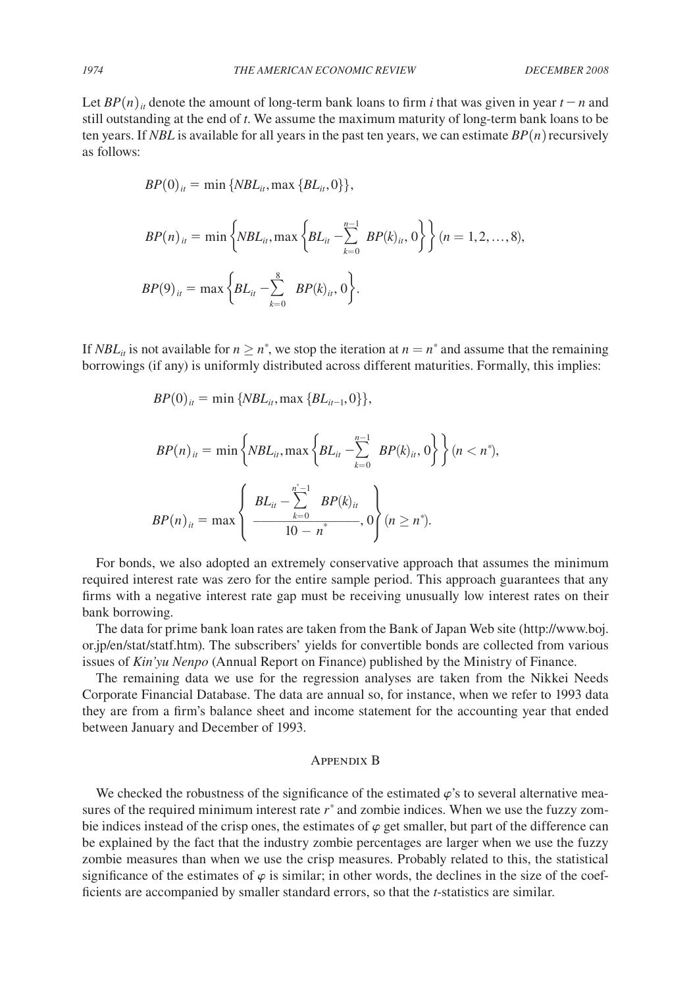Let  $BP(n)$ <sub>*it*</sub> denote the amount of long-term bank loans to firm *i* that was given in year  $t - n$  and still outstanding at the end of *t*. We assume the maximum maturity of long-term bank loans to be ten years. If *NBL* is available for all years in the past ten years, we can estimate  $BP(n)$  recursively as follows:

$$
BP(0)_{it} = \min \{NBL_{it}, \max \{BL_{it}, 0\}\},\
$$

$$
BP(n)_{it} = \min \left\{ NBL_{it}, \max \left\{ BL_{it} - \sum_{k=0}^{n-1} BP(k)_{it}, 0 \right\} \right\} (n = 1, 2, ..., 8),
$$
  

$$
BP(9)_{it} = \max \left\{ BL_{it} - \sum_{k=0}^{8} BP(k)_{it}, 0 \right\}.
$$

If *NBL<sub>it</sub>* is not available for  $n \ge n^*$ , we stop the iteration at  $n = n^*$  and assume that the remaining borrowings (if any) is uniformly distributed across different maturities. Formally, this implies:

$$
BP(0)_{it} = \min \{NBL_{it}, \max \{BL_{it-1}, 0\}\}
$$

$$
BP(n)_{it} = \min \left\{ NBL_{it}, \max \left\{ BL_{it} - \sum_{k=0}^{n-1} BP(k)_{it}, 0 \right\} \right\} (n < n^*),
$$
  

$$
BP(n)_{it} = \max \left\{ \frac{BL_{it} - \sum_{k=0}^{n^*-1} BP(k)_{it}}{10 - n^*}, 0 \right\} (n \ge n^*).
$$

For bonds, we also adopted an extremely conservative approach that assumes the minimum required interest rate was zero for the entire sample period. This approach guarantees that any firms with a negative interest rate gap must be receiving unusually low interest rates on their bank borrowing.

The data for prime bank loan rates are taken from the Bank of Japan Web site (http://www.boj. or.jp/en/stat/statf.htm). The subscribers' yields for convertible bonds are collected from various issues of *Kin'yu Nenpo* (Annual Report on Finance) published by the Ministry of Finance.

The remaining data we use for the regression analyses are taken from the Nikkei Needs Corporate Financial Database. The data are annual so, for instance, when we refer to 1993 data they are from a firm's balance sheet and income statement for the accounting year that ended between January and December of 1993.

## Appendix B

We checked the robustness of the significance of the estimated  $\varphi$ 's to several alternative measures of the required minimum interest rate *r\** and zombie indices. When we use the fuzzy zombie indices instead of the crisp ones, the estimates of  $\varphi$  get smaller, but part of the difference can be explained by the fact that the industry zombie percentages are larger when we use the fuzzy zombie measures than when we use the crisp measures. Probably related to this, the statistical significance of the estimates of  $\varphi$  is similar; in other words, the declines in the size of the coefficients are accompanied by smaller standard errors, so that the *t*-statistics are similar.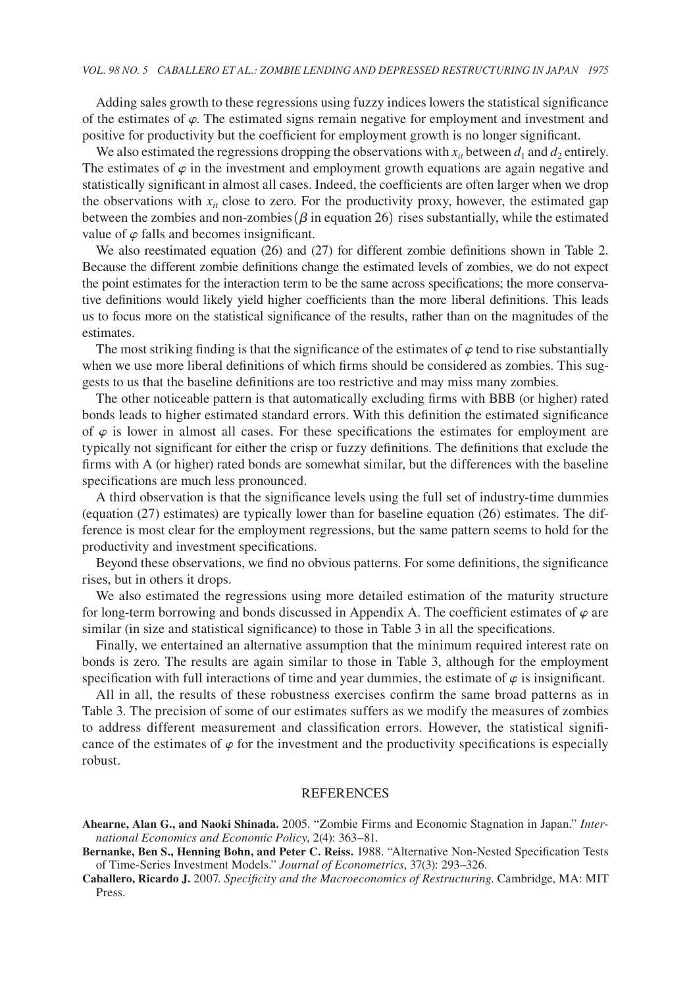Adding sales growth to these regressions using fuzzy indices lowers the statistical significance of the estimates of  $\varphi$ . The estimated signs remain negative for employment and investment and positive for productivity but the coefficient for employment growth is no longer significant.

We also estimated the regressions dropping the observations with  $x_i$  between  $d_1$  and  $d_2$  entirely. The estimates of  $\varphi$  in the investment and employment growth equations are again negative and statistically significant in almost all cases. Indeed, the coefficients are often larger when we drop the observations with  $x_{it}$  close to zero. For the productivity proxy, however, the estimated gap between the zombies and non-zombies ( $\beta$  in equation 26) rises substantially, while the estimated value of  $\varphi$  falls and becomes insignificant.

We also reestimated equation (26) and (27) for different zombie definitions shown in Table 2. Because the different zombie definitions change the estimated levels of zombies, we do not expect the point estimates for the interaction term to be the same across specifications; the more conservative definitions would likely yield higher coefficients than the more liberal definitions. This leads us to focus more on the statistical significance of the results, rather than on the magnitudes of the estimates.

The most striking finding is that the significance of the estimates of  $\varphi$  tend to rise substantially when we use more liberal definitions of which firms should be considered as zombies. This suggests to us that the baseline definitions are too restrictive and may miss many zombies.

The other noticeable pattern is that automatically excluding firms with BBB (or higher) rated bonds leads to higher estimated standard errors. With this definition the estimated significance of  $\varphi$  is lower in almost all cases. For these specifications the estimates for employment are typically not significant for either the crisp or fuzzy definitions. The definitions that exclude the firms with A (or higher) rated bonds are somewhat similar, but the differences with the baseline specifications are much less pronounced.

A third observation is that the significance levels using the full set of industry-time dummies (equation (27) estimates) are typically lower than for baseline equation (26) estimates. The difference is most clear for the employment regressions, but the same pattern seems to hold for the productivity and investment specifications.

Beyond these observations, we find no obvious patterns. For some definitions, the significance rises, but in others it drops.

We also estimated the regressions using more detailed estimation of the maturity structure for long-term borrowing and bonds discussed in Appendix A. The coefficient estimates of  $\varphi$  are similar (in size and statistical significance) to those in Table 3 in all the specifications.

Finally, we entertained an alternative assumption that the minimum required interest rate on bonds is zero. The results are again similar to those in Table 3, although for the employment specification with full interactions of time and year dummies, the estimate of  $\varphi$  is insignificant.

All in all, the results of these robustness exercises confirm the same broad patterns as in Table 3. The precision of some of our estimates suffers as we modify the measures of zombies to address different measurement and classification errors. However, the statistical significance of the estimates of  $\varphi$  for the investment and the productivity specifications is especially robust.

## REFERENCES

- **Ahearne, Alan G., and Naoki Shinada.** 2005. "Zombie Firms and Economic Stagnation in Japan." *International Economics and Economic Policy*, 2(4): 363–81.
- **Bernanke, Ben S., Henning Bohn, and Peter C. Reiss.** 1988. "Alternative Non-Nested Specification Tests of Time-Series Investment Models." *Journal of Econometrics*, 37(3): 293–326.
- **Caballero, Ricardo J.** 2007. *Specificity and the Macroeconomics of Restructuring*. Cambridge, MA: MIT Press.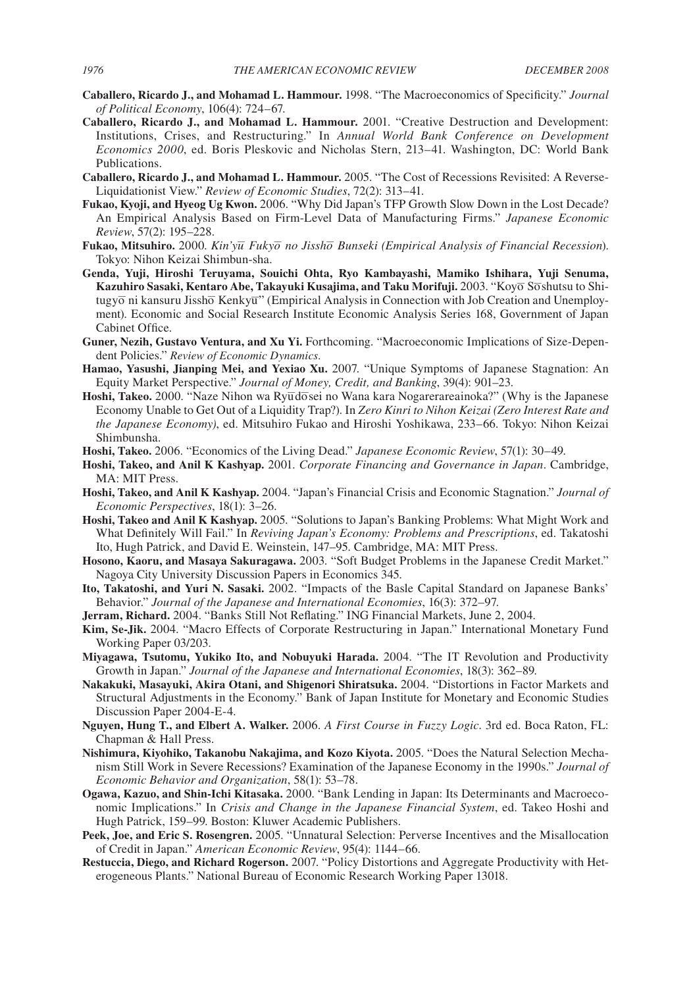- **Caballero, Ricardo J., and Mohamad L. Hammour.** 1998. "The Macroeconomics of Specificity." *Journal of Political Economy*, 106(4): 724–67.
- **Caballero, Ricardo J., and Mohamad L. Hammour.** 2001. "Creative Destruction and Development: Institutions, Crises, and Restructuring." In *Annual World Bank Conference on Development Economics 2000*, ed. Boris Pleskovic and Nicholas Stern, 213–41. Washington, DC: World Bank Publications.
- **Caballero, Ricardo J., and Mohamad L. Hammour.** 2005. "The Cost of Recessions Revisited: A Reverse-Liquidationist View." *Review of Economic Studies*, 72(2): 313–41.
- **Fukao, Kyoji, and Hyeog Ug Kwon.** 2006. "Why Did Japan's TFP Growth Slow Down in the Lost Decade? An Empirical Analysis Based on Firm-Level Data of Manufacturing Firms." *Japanese Economic Review*, 57(2): 195–228.
- **Fukao, Mitsuhiro.** 2000. *Kin'yū Fukyō no Jisshō Bunseki (Empirical Analysis of Financial Recession*). Tokyo: Nihon Keizai Shimbun-sha.
- **Genda, Yuji, Hiroshi Teruyama, Souichi Ohta, Ryo Kambayashi, Mamiko Ishihara, Yuji Senuma,**  Ka<mark>zuhiro Sasaki, Kentaro Abe, Takayuki Kusajima, and Taku Morifuji. 2003. "Koy<del>o</del> S<del>o</del>shutsu to Shi-</mark> tugyō ni kansuru Jisshō Kenkyū" (Empirical Analysis in Connection with Job Creation and Unemployment). Economic and Social Research Institute Economic Analysis Series 168, Government of Japan Cabinet Office.
- **Guner, Nezih, Gustavo Ventura, and Xu Yi.** Forthcoming. "Macroeconomic Implications of Size-Dependent Policies." *Review of Economic Dynamics*.
- **Hamao, Yasushi, Jianping Mei, and Yexiao Xu.** 2007. "Unique Symptoms of Japanese Stagnation: An Equity Market Perspective." *Journal of Money, Credit, and Banking*, 39(4): 901–23.
- Hoshi, Takeo. 2000. "Naze Nihon wa Ryūdosei no Wana kara Nogarerareainoka?" (Why is the Japanese Economy Unable to Get Out of a Liquidity Trap?). In *Zero Kinri to Nihon Keizai (Zero Interest Rate and the Japanese Economy)*, ed. Mitsuhiro Fukao and Hiroshi Yoshikawa, 233–66. Tokyo: Nihon Keizai Shimbunsha.
- **Hoshi, Takeo.** 2006. "Economics of the Living Dead." *Japanese Economic Review*, 57(1): 30–49.
- **Hoshi, Takeo, and Anil K Kashyap.** 2001. *Corporate Financing and Governance in Japan*. Cambridge, MA: MIT Press.
- **Hoshi, Takeo, and Anil K Kashyap.** 2004. "Japan's Financial Crisis and Economic Stagnation." *Journal of Economic Perspectives*, 18(1): 3–26.
- **Hoshi, Takeo and Anil K Kashyap.** 2005. "Solutions to Japan's Banking Problems: What Might Work and What Definitely Will Fail." In *Reviving Japan's Economy: Problems and Prescriptions*, ed. Takatoshi Ito, Hugh Patrick, and David E. Weinstein, 147–95. Cambridge, MA: MIT Press.
- **Hosono, Kaoru, and Masaya Sakuragawa.** 2003. "Soft Budget Problems in the Japanese Credit Market." Nagoya City University Discussion Papers in Economics 345.
- **Ito, Takatoshi, and Yuri N. Sasaki.** 2002. "Impacts of the Basle Capital Standard on Japanese Banks' Behavior." *Journal of the Japanese and International Economies*, 16(3): 372–97.
- **Jerram, Richard.** 2004. "Banks Still Not Reflating." ING Financial Markets, June 2, 2004.
- **Kim, Se-Jik.** 2004. "Macro Effects of Corporate Restructuring in Japan." International Monetary Fund Working Paper 03/203.
- **Miyagawa, Tsutomu, Yukiko Ito, and Nobuyuki Harada.** 2004. "The IT Revolution and Productivity Growth in Japan." *Journal of the Japanese and International Economies*, 18(3): 362–89.
- **Nakakuki, Masayuki, Akira Otani, and Shigenori Shiratsuka.** 2004. "Distortions in Factor Markets and Structural Adjustments in the Economy." Bank of Japan Institute for Monetary and Economic Studies Discussion Paper 2004-E-4.
- **Nguyen, Hung T., and Elbert A. Walker.** 2006. *A First Course in Fuzzy Logic*. 3rd ed. Boca Raton, FL: Chapman & Hall Press.
- **Nishimura, Kiyohiko, Takanobu Nakajima, and Kozo Kiyota.** 2005. "Does the Natural Selection Mechanism Still Work in Severe Recessions? Examination of the Japanese Economy in the 1990s." *Journal of Economic Behavior and Organization*, 58(1): 53–78.
- **Ogawa, Kazuo, and Shin-Ichi Kitasaka.** 2000. "Bank Lending in Japan: Its Determinants and Macroeconomic Implications." In *Crisis and Change in the Japanese Financial System*, ed. Takeo Hoshi and Hugh Patrick, 159–99. Boston: Kluwer Academic Publishers.
- **Peek, Joe, and Eric S. Rosengren.** 2005. "Unnatural Selection: Perverse Incentives and the Misallocation of Credit in Japan." *American Economic Review*, 95(4): 1144–66.
- **Restuccia, Diego, and Richard Rogerson.** 2007. "Policy Distortions and Aggregate Productivity with Heterogeneous Plants." National Bureau of Economic Research Working Paper 13018.